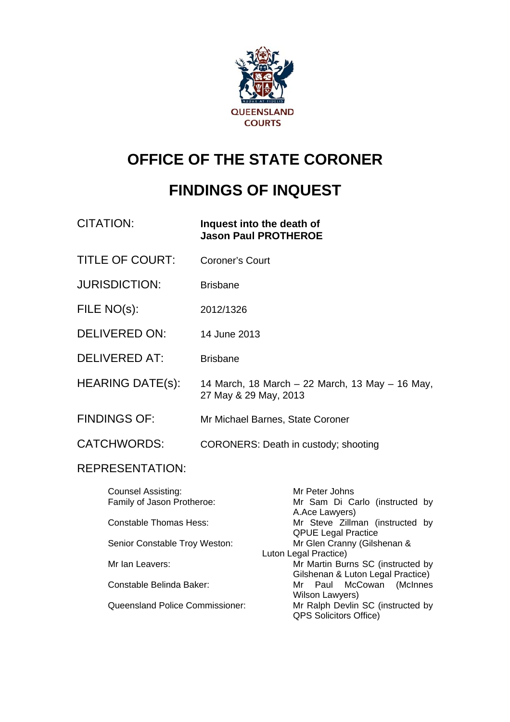

# **OFFICE OF THE STATE CORONER**

# **FINDINGS OF INQUEST**

| <b>CITATION:</b>                                                                  | Inquest into the death of            | <b>Jason Paul PROTHEROE</b>                                                                           |
|-----------------------------------------------------------------------------------|--------------------------------------|-------------------------------------------------------------------------------------------------------|
| <b>TITLE OF COURT:</b>                                                            | <b>Coroner's Court</b>               |                                                                                                       |
| <b>JURISDICTION:</b>                                                              | <b>Brisbane</b>                      |                                                                                                       |
| FILE NO(s):                                                                       | 2012/1326                            |                                                                                                       |
| <b>DELIVERED ON:</b>                                                              | 14 June 2013                         |                                                                                                       |
| <b>DELIVERED AT:</b>                                                              | <b>Brisbane</b>                      |                                                                                                       |
| <b>HEARING DATE(s):</b>                                                           | 27 May & 29 May, 2013                | 14 March, 18 March – 22 March, 13 May – 16 May,                                                       |
| <b>FINDINGS OF:</b>                                                               |                                      | Mr Michael Barnes, State Coroner                                                                      |
| <b>CATCHWORDS:</b>                                                                | CORONERS: Death in custody; shooting |                                                                                                       |
| <b>REPRESENTATION:</b>                                                            |                                      |                                                                                                       |
| Counsel Assisting:<br>Family of Jason Protheroe:<br><b>Constable Thomas Hess:</b> |                                      | Mr Peter Johns<br>Mr Sam Di Carlo (instructed by<br>A.Ace Lawyers)<br>Mr Steve Zillman (instructed by |
| Senior Constable Troy Weston:                                                     |                                      | <b>QPUE Legal Practice</b><br>Mr Glen Cranny (Gilshenan &<br>Luton Legal Practice)                    |
| Mr Ian Leavers:                                                                   |                                      | Mr Martin Burns SC (instructed by<br>Gilshenan & Luton Legal Practice)                                |
| Constable Belinda Baker:                                                          |                                      | (McInnes<br>Paul<br>McCowan<br>Mr<br>Wilson Lawyers)                                                  |
| Queensland Police Commissioner:                                                   |                                      | Mr Ralph Devlin SC (instructed by<br><b>QPS Solicitors Office)</b>                                    |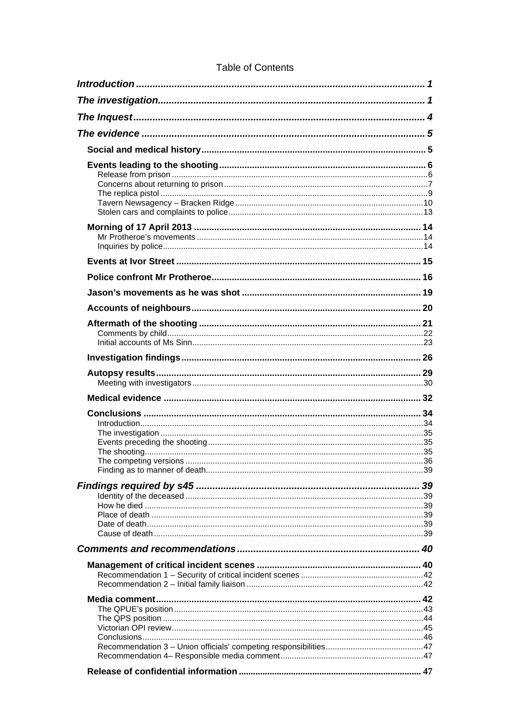# **Table of Contents**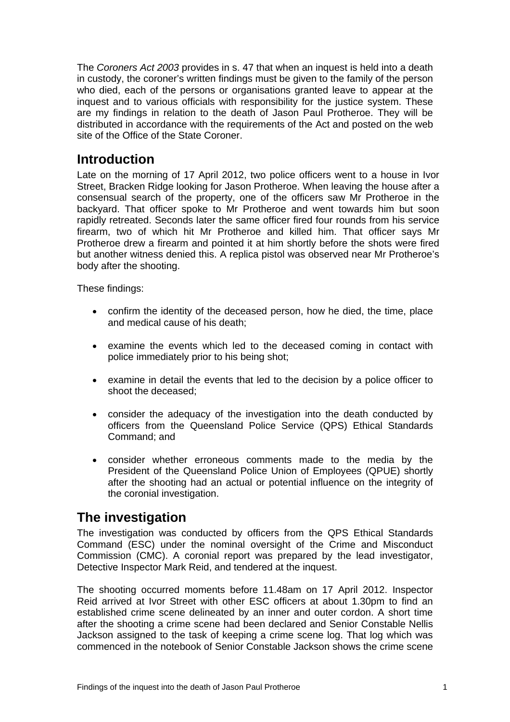<span id="page-2-0"></span>The *Coroners Act 2003* provides in s. 47 that when an inquest is held into a death in custody, the coroner's written findings must be given to the family of the person who died, each of the persons or organisations granted leave to appear at the inquest and to various officials with responsibility for the justice system. These are my findings in relation to the death of Jason Paul Protheroe. They will be distributed in accordance with the requirements of the Act and posted on the web site of the Office of the State Coroner.

# **Introduction**

Late on the morning of 17 April 2012, two police officers went to a house in Ivor Street, Bracken Ridge looking for Jason Protheroe. When leaving the house after a consensual search of the property, one of the officers saw Mr Protheroe in the backyard. That officer spoke to Mr Protheroe and went towards him but soon rapidly retreated. Seconds later the same officer fired four rounds from his service firearm, two of which hit Mr Protheroe and killed him. That officer says Mr Protheroe drew a firearm and pointed it at him shortly before the shots were fired but another witness denied this. A replica pistol was observed near Mr Protheroe's body after the shooting.

These findings:

- confirm the identity of the deceased person, how he died, the time, place and medical cause of his death;
- examine the events which led to the deceased coming in contact with police immediately prior to his being shot;
- examine in detail the events that led to the decision by a police officer to shoot the deceased;
- consider the adequacy of the investigation into the death conducted by officers from the Queensland Police Service (QPS) Ethical Standards Command; and
- consider whether erroneous comments made to the media by the President of the Queensland Police Union of Employees (QPUE) shortly after the shooting had an actual or potential influence on the integrity of the coronial investigation.

# **The investigation**

The investigation was conducted by officers from the QPS Ethical Standards Command (ESC) under the nominal oversight of the Crime and Misconduct Commission (CMC). A coronial report was prepared by the lead investigator, Detective Inspector Mark Reid, and tendered at the inquest.

The shooting occurred moments before 11.48am on 17 April 2012. Inspector Reid arrived at Ivor Street with other ESC officers at about 1.30pm to find an established crime scene delineated by an inner and outer cordon. A short time after the shooting a crime scene had been declared and Senior Constable Nellis Jackson assigned to the task of keeping a crime scene log. That log which was commenced in the notebook of Senior Constable Jackson shows the crime scene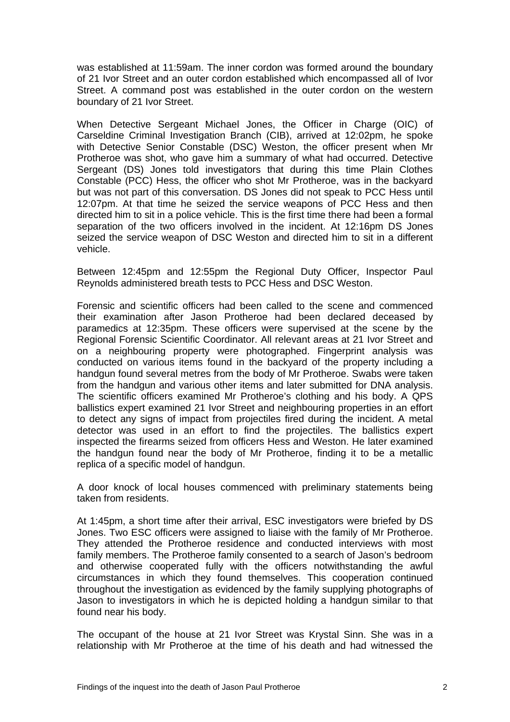was established at 11:59am. The inner cordon was formed around the boundary of 21 Ivor Street and an outer cordon established which encompassed all of Ivor Street. A command post was established in the outer cordon on the western boundary of 21 Ivor Street.

When Detective Sergeant Michael Jones, the Officer in Charge (OIC) of Carseldine Criminal Investigation Branch (CIB), arrived at 12:02pm, he spoke with Detective Senior Constable (DSC) Weston, the officer present when Mr Protheroe was shot, who gave him a summary of what had occurred. Detective Sergeant (DS) Jones told investigators that during this time Plain Clothes Constable (PCC) Hess, the officer who shot Mr Protheroe, was in the backyard but was not part of this conversation. DS Jones did not speak to PCC Hess until 12:07pm. At that time he seized the service weapons of PCC Hess and then directed him to sit in a police vehicle. This is the first time there had been a formal separation of the two officers involved in the incident. At 12:16pm DS Jones seized the service weapon of DSC Weston and directed him to sit in a different vehicle.

Between 12:45pm and 12:55pm the Regional Duty Officer, Inspector Paul Reynolds administered breath tests to PCC Hess and DSC Weston.

Forensic and scientific officers had been called to the scene and commenced their examination after Jason Protheroe had been declared deceased by paramedics at 12:35pm. These officers were supervised at the scene by the Regional Forensic Scientific Coordinator. All relevant areas at 21 Ivor Street and on a neighbouring property were photographed. Fingerprint analysis was conducted on various items found in the backyard of the property including a handgun found several metres from the body of Mr Protheroe. Swabs were taken from the handgun and various other items and later submitted for DNA analysis. The scientific officers examined Mr Protheroe's clothing and his body. A QPS ballistics expert examined 21 Ivor Street and neighbouring properties in an effort to detect any signs of impact from projectiles fired during the incident. A metal detector was used in an effort to find the projectiles. The ballistics expert inspected the firearms seized from officers Hess and Weston. He later examined the handgun found near the body of Mr Protheroe, finding it to be a metallic replica of a specific model of handgun.

A door knock of local houses commenced with preliminary statements being taken from residents.

At 1:45pm, a short time after their arrival, ESC investigators were briefed by DS Jones. Two ESC officers were assigned to liaise with the family of Mr Protheroe. They attended the Protheroe residence and conducted interviews with most family members. The Protheroe family consented to a search of Jason's bedroom and otherwise cooperated fully with the officers notwithstanding the awful circumstances in which they found themselves. This cooperation continued throughout the investigation as evidenced by the family supplying photographs of Jason to investigators in which he is depicted holding a handgun similar to that found near his body.

The occupant of the house at 21 Ivor Street was Krystal Sinn. She was in a relationship with Mr Protheroe at the time of his death and had witnessed the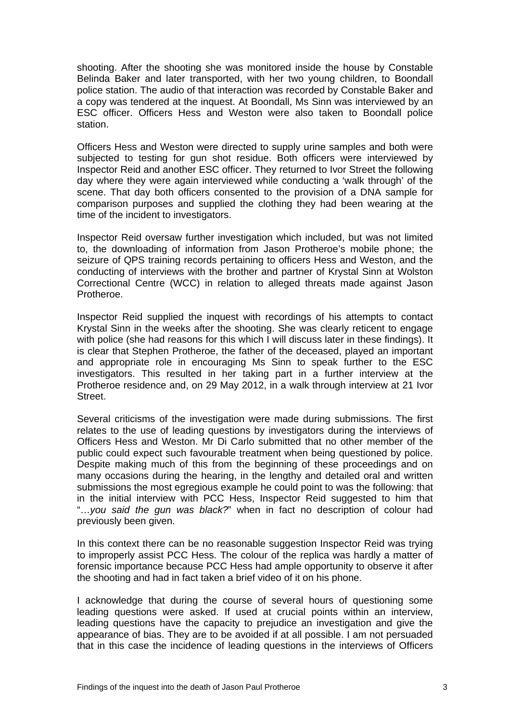shooting. After the shooting she was monitored inside the house by Constable Belinda Baker and later transported, with her two young children, to Boondall police station. The audio of that interaction was recorded by Constable Baker and a copy was tendered at the inquest. At Boondall, Ms Sinn was interviewed by an ESC officer. Officers Hess and Weston were also taken to Boondall police station.

Officers Hess and Weston were directed to supply urine samples and both were subjected to testing for gun shot residue. Both officers were interviewed by Inspector Reid and another ESC officer. They returned to Ivor Street the following day where they were again interviewed while conducting a 'walk through' of the scene. That day both officers consented to the provision of a DNA sample for comparison purposes and supplied the clothing they had been wearing at the time of the incident to investigators.

Inspector Reid oversaw further investigation which included, but was not limited to, the downloading of information from Jason Protheroe's mobile phone; the seizure of QPS training records pertaining to officers Hess and Weston, and the conducting of interviews with the brother and partner of Krystal Sinn at Wolston Correctional Centre (WCC) in relation to alleged threats made against Jason Protheroe.

Inspector Reid supplied the inquest with recordings of his attempts to contact Krystal Sinn in the weeks after the shooting. She was clearly reticent to engage with police (she had reasons for this which I will discuss later in these findings). It is clear that Stephen Protheroe, the father of the deceased, played an important and appropriate role in encouraging Ms Sinn to speak further to the ESC investigators. This resulted in her taking part in a further interview at the Protheroe residence and, on 29 May 2012, in a walk through interview at 21 Ivor Street.

Several criticisms of the investigation were made during submissions. The first relates to the use of leading questions by investigators during the interviews of Officers Hess and Weston. Mr Di Carlo submitted that no other member of the public could expect such favourable treatment when being questioned by police. Despite making much of this from the beginning of these proceedings and on many occasions during the hearing, in the lengthy and detailed oral and written submissions the most egregious example he could point to was the following: that in the initial interview with PCC Hess, Inspector Reid suggested to him that "…*you said the gun was black?*" when in fact no description of colour had previously been given.

In this context there can be no reasonable suggestion Inspector Reid was trying to improperly assist PCC Hess. The colour of the replica was hardly a matter of forensic importance because PCC Hess had ample opportunity to observe it after the shooting and had in fact taken a brief video of it on his phone.

I acknowledge that during the course of several hours of questioning some leading questions were asked. If used at crucial points within an interview, leading questions have the capacity to prejudice an investigation and give the appearance of bias. They are to be avoided if at all possible. I am not persuaded that in this case the incidence of leading questions in the interviews of Officers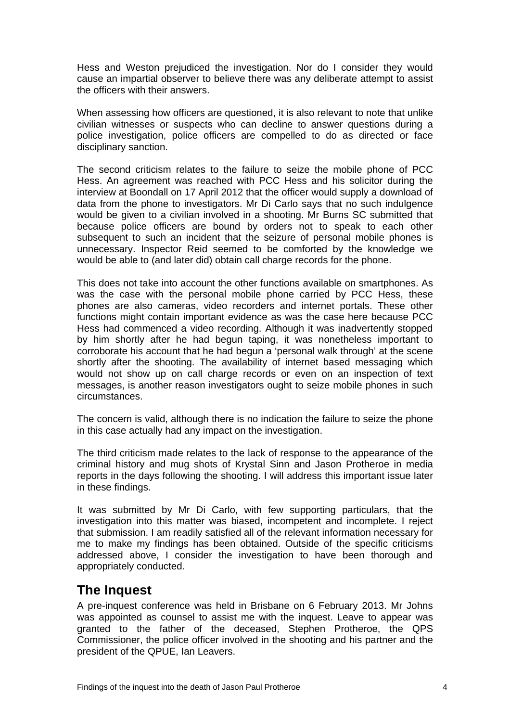<span id="page-5-0"></span>Hess and Weston prejudiced the investigation. Nor do I consider they would cause an impartial observer to believe there was any deliberate attempt to assist the officers with their answers.

When assessing how officers are questioned, it is also relevant to note that unlike civilian witnesses or suspects who can decline to answer questions during a police investigation, police officers are compelled to do as directed or face disciplinary sanction.

The second criticism relates to the failure to seize the mobile phone of PCC Hess. An agreement was reached with PCC Hess and his solicitor during the interview at Boondall on 17 April 2012 that the officer would supply a download of data from the phone to investigators. Mr Di Carlo says that no such indulgence would be given to a civilian involved in a shooting. Mr Burns SC submitted that because police officers are bound by orders not to speak to each other subsequent to such an incident that the seizure of personal mobile phones is unnecessary. Inspector Reid seemed to be comforted by the knowledge we would be able to (and later did) obtain call charge records for the phone.

This does not take into account the other functions available on smartphones. As was the case with the personal mobile phone carried by PCC Hess, these phones are also cameras, video recorders and internet portals. These other functions might contain important evidence as was the case here because PCC Hess had commenced a video recording. Although it was inadvertently stopped by him shortly after he had begun taping, it was nonetheless important to corroborate his account that he had begun a 'personal walk through' at the scene shortly after the shooting. The availability of internet based messaging which would not show up on call charge records or even on an inspection of text messages, is another reason investigators ought to seize mobile phones in such circumstances.

The concern is valid, although there is no indication the failure to seize the phone in this case actually had any impact on the investigation.

The third criticism made relates to the lack of response to the appearance of the criminal history and mug shots of Krystal Sinn and Jason Protheroe in media reports in the days following the shooting. I will address this important issue later in these findings.

It was submitted by Mr Di Carlo, with few supporting particulars, that the investigation into this matter was biased, incompetent and incomplete. I reject that submission. I am readily satisfied all of the relevant information necessary for me to make my findings has been obtained. Outside of the specific criticisms addressed above, I consider the investigation to have been thorough and appropriately conducted.

# **The Inquest**

A pre-inquest conference was held in Brisbane on 6 February 2013. Mr Johns was appointed as counsel to assist me with the inquest. Leave to appear was granted to the father of the deceased, Stephen Protheroe, the QPS Commissioner, the police officer involved in the shooting and his partner and the president of the QPUE, Ian Leavers.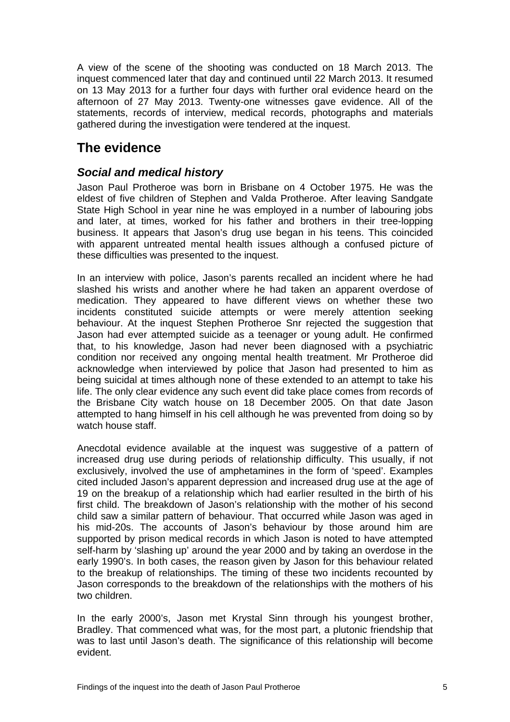<span id="page-6-0"></span>A view of the scene of the shooting was conducted on 18 March 2013. The inquest commenced later that day and continued until 22 March 2013. It resumed on 13 May 2013 for a further four days with further oral evidence heard on the afternoon of 27 May 2013. Twenty-one witnesses gave evidence. All of the statements, records of interview, medical records, photographs and materials gathered during the investigation were tendered at the inquest.

# **The evidence**

## *Social and medical history*

Jason Paul Protheroe was born in Brisbane on 4 October 1975. He was the eldest of five children of Stephen and Valda Protheroe. After leaving Sandgate State High School in year nine he was employed in a number of labouring jobs and later, at times, worked for his father and brothers in their tree-lopping business. It appears that Jason's drug use began in his teens. This coincided with apparent untreated mental health issues although a confused picture of these difficulties was presented to the inquest.

In an interview with police, Jason's parents recalled an incident where he had slashed his wrists and another where he had taken an apparent overdose of medication. They appeared to have different views on whether these two incidents constituted suicide attempts or were merely attention seeking behaviour. At the inquest Stephen Protheroe Snr rejected the suggestion that Jason had ever attempted suicide as a teenager or young adult. He confirmed that, to his knowledge, Jason had never been diagnosed with a psychiatric condition nor received any ongoing mental health treatment. Mr Protheroe did acknowledge when interviewed by police that Jason had presented to him as being suicidal at times although none of these extended to an attempt to take his life. The only clear evidence any such event did take place comes from records of the Brisbane City watch house on 18 December 2005. On that date Jason attempted to hang himself in his cell although he was prevented from doing so by watch house staff.

Anecdotal evidence available at the inquest was suggestive of a pattern of increased drug use during periods of relationship difficulty. This usually, if not exclusively, involved the use of amphetamines in the form of 'speed'. Examples cited included Jason's apparent depression and increased drug use at the age of 19 on the breakup of a relationship which had earlier resulted in the birth of his first child. The breakdown of Jason's relationship with the mother of his second child saw a similar pattern of behaviour. That occurred while Jason was aged in his mid-20s. The accounts of Jason's behaviour by those around him are supported by prison medical records in which Jason is noted to have attempted self-harm by 'slashing up' around the year 2000 and by taking an overdose in the early 1990's. In both cases, the reason given by Jason for this behaviour related to the breakup of relationships. The timing of these two incidents recounted by Jason corresponds to the breakdown of the relationships with the mothers of his two children.

In the early 2000's, Jason met Krystal Sinn through his youngest brother, Bradley. That commenced what was, for the most part, a plutonic friendship that was to last until Jason's death. The significance of this relationship will become evident.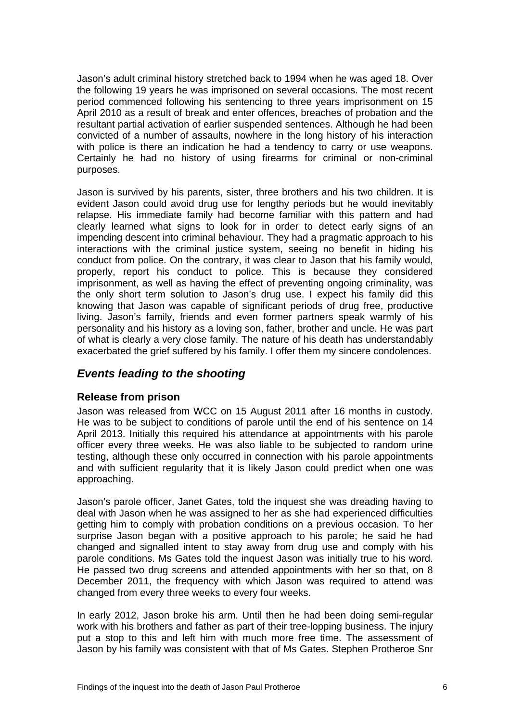<span id="page-7-0"></span>Jason's adult criminal history stretched back to 1994 when he was aged 18. Over the following 19 years he was imprisoned on several occasions. The most recent period commenced following his sentencing to three years imprisonment on 15 April 2010 as a result of break and enter offences, breaches of probation and the resultant partial activation of earlier suspended sentences. Although he had been convicted of a number of assaults, nowhere in the long history of his interaction with police is there an indication he had a tendency to carry or use weapons. Certainly he had no history of using firearms for criminal or non-criminal purposes.

Jason is survived by his parents, sister, three brothers and his two children. It is evident Jason could avoid drug use for lengthy periods but he would inevitably relapse. His immediate family had become familiar with this pattern and had clearly learned what signs to look for in order to detect early signs of an impending descent into criminal behaviour. They had a pragmatic approach to his interactions with the criminal justice system, seeing no benefit in hiding his conduct from police. On the contrary, it was clear to Jason that his family would, properly, report his conduct to police. This is because they considered imprisonment, as well as having the effect of preventing ongoing criminality, was the only short term solution to Jason's drug use. I expect his family did this knowing that Jason was capable of significant periods of drug free, productive living. Jason's family, friends and even former partners speak warmly of his personality and his history as a loving son, father, brother and uncle. He was part of what is clearly a very close family. The nature of his death has understandably exacerbated the grief suffered by his family. I offer them my sincere condolences.

## *Events leading to the shooting*

#### **Release from prison**

Jason was released from WCC on 15 August 2011 after 16 months in custody. He was to be subject to conditions of parole until the end of his sentence on 14 April 2013. Initially this required his attendance at appointments with his parole officer every three weeks. He was also liable to be subjected to random urine testing, although these only occurred in connection with his parole appointments and with sufficient regularity that it is likely Jason could predict when one was approaching.

Jason's parole officer, Janet Gates, told the inquest she was dreading having to deal with Jason when he was assigned to her as she had experienced difficulties getting him to comply with probation conditions on a previous occasion. To her surprise Jason began with a positive approach to his parole; he said he had changed and signalled intent to stay away from drug use and comply with his parole conditions. Ms Gates told the inquest Jason was initially true to his word. He passed two drug screens and attended appointments with her so that, on 8 December 2011, the frequency with which Jason was required to attend was changed from every three weeks to every four weeks.

In early 2012, Jason broke his arm. Until then he had been doing semi-regular work with his brothers and father as part of their tree-lopping business. The injury put a stop to this and left him with much more free time. The assessment of Jason by his family was consistent with that of Ms Gates. Stephen Protheroe Snr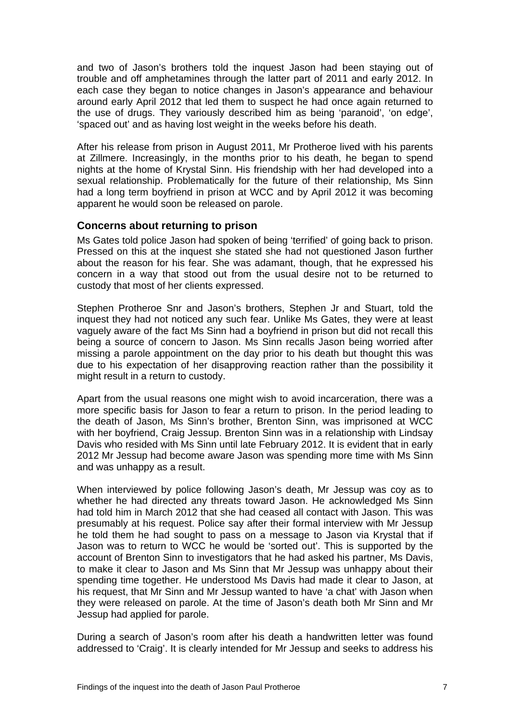<span id="page-8-0"></span>and two of Jason's brothers told the inquest Jason had been staying out of trouble and off amphetamines through the latter part of 2011 and early 2012. In each case they began to notice changes in Jason's appearance and behaviour around early April 2012 that led them to suspect he had once again returned to the use of drugs. They variously described him as being 'paranoid', 'on edge', 'spaced out' and as having lost weight in the weeks before his death.

After his release from prison in August 2011, Mr Protheroe lived with his parents at Zillmere. Increasingly, in the months prior to his death, he began to spend nights at the home of Krystal Sinn. His friendship with her had developed into a sexual relationship. Problematically for the future of their relationship, Ms Sinn had a long term boyfriend in prison at WCC and by April 2012 it was becoming apparent he would soon be released on parole.

#### **Concerns about returning to prison**

Ms Gates told police Jason had spoken of being 'terrified' of going back to prison. Pressed on this at the inquest she stated she had not questioned Jason further about the reason for his fear. She was adamant, though, that he expressed his concern in a way that stood out from the usual desire not to be returned to custody that most of her clients expressed.

Stephen Protheroe Snr and Jason's brothers, Stephen Jr and Stuart, told the inquest they had not noticed any such fear. Unlike Ms Gates, they were at least vaguely aware of the fact Ms Sinn had a boyfriend in prison but did not recall this being a source of concern to Jason. Ms Sinn recalls Jason being worried after missing a parole appointment on the day prior to his death but thought this was due to his expectation of her disapproving reaction rather than the possibility it might result in a return to custody.

Apart from the usual reasons one might wish to avoid incarceration, there was a more specific basis for Jason to fear a return to prison. In the period leading to the death of Jason, Ms Sinn's brother, Brenton Sinn, was imprisoned at WCC with her boyfriend, Craig Jessup. Brenton Sinn was in a relationship with Lindsay Davis who resided with Ms Sinn until late February 2012. It is evident that in early 2012 Mr Jessup had become aware Jason was spending more time with Ms Sinn and was unhappy as a result.

When interviewed by police following Jason's death, Mr Jessup was coy as to whether he had directed any threats toward Jason. He acknowledged Ms Sinn had told him in March 2012 that she had ceased all contact with Jason. This was presumably at his request. Police say after their formal interview with Mr Jessup he told them he had sought to pass on a message to Jason via Krystal that if Jason was to return to WCC he would be 'sorted out'. This is supported by the account of Brenton Sinn to investigators that he had asked his partner, Ms Davis, to make it clear to Jason and Ms Sinn that Mr Jessup was unhappy about their spending time together. He understood Ms Davis had made it clear to Jason, at his request, that Mr Sinn and Mr Jessup wanted to have 'a chat' with Jason when they were released on parole. At the time of Jason's death both Mr Sinn and Mr Jessup had applied for parole.

During a search of Jason's room after his death a handwritten letter was found addressed to 'Craig'. It is clearly intended for Mr Jessup and seeks to address his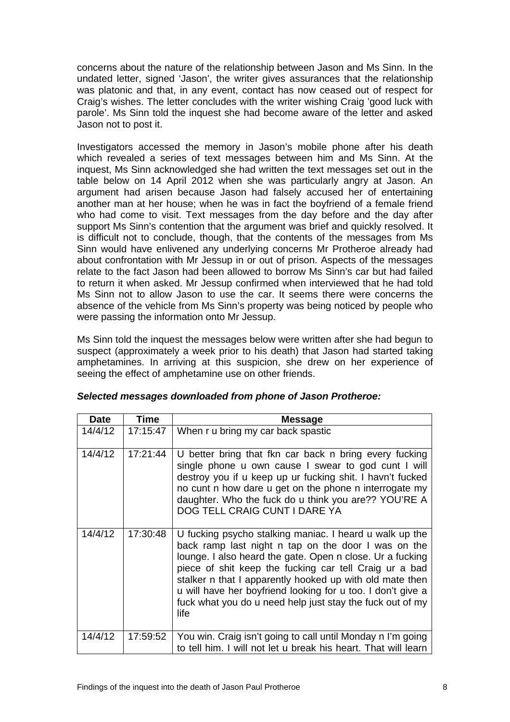<span id="page-9-0"></span>concerns about the nature of the relationship between Jason and Ms Sinn. In the undated letter, signed 'Jason', the writer gives assurances that the relationship was platonic and that, in any event, contact has now ceased out of respect for Craig's wishes. The letter concludes with the writer wishing Craig 'good luck with parole'. Ms Sinn told the inquest she had become aware of the letter and asked Jason not to post it.

Investigators accessed the memory in Jason's mobile phone after his death which revealed a series of text messages between him and Ms Sinn. At the inquest, Ms Sinn acknowledged she had written the text messages set out in the table below on 14 April 2012 when she was particularly angry at Jason. An argument had arisen because Jason had falsely accused her of entertaining another man at her house; when he was in fact the boyfriend of a female friend who had come to visit. Text messages from the day before and the day after support Ms Sinn's contention that the argument was brief and quickly resolved. It is difficult not to conclude, though, that the contents of the messages from Ms Sinn would have enlivened any underlying concerns Mr Protheroe already had about confrontation with Mr Jessup in or out of prison. Aspects of the messages relate to the fact Jason had been allowed to borrow Ms Sinn's car but had failed to return it when asked. Mr Jessup confirmed when interviewed that he had told Ms Sinn not to allow Jason to use the car. It seems there were concerns the absence of the vehicle from Ms Sinn's property was being noticed by people who were passing the information onto Mr Jessup.

Ms Sinn told the inquest the messages below were written after she had begun to suspect (approximately a week prior to his death) that Jason had started taking amphetamines. In arriving at this suspicion, she drew on her experience of seeing the effect of amphetamine use on other friends.

| <b>Date</b> | <b>Time</b> | <b>Message</b>                                                                                                                                                                                                                                                                                                                                                                                                                        |
|-------------|-------------|---------------------------------------------------------------------------------------------------------------------------------------------------------------------------------------------------------------------------------------------------------------------------------------------------------------------------------------------------------------------------------------------------------------------------------------|
| 14/4/12     | 17:15:47    | When r u bring my car back spastic                                                                                                                                                                                                                                                                                                                                                                                                    |
| 14/4/12     | 17:21:44    | U better bring that fkn car back n bring every fucking<br>single phone u own cause I swear to god cunt I will<br>destroy you if u keep up ur fucking shit. I havn't fucked<br>no cunt n how dare u get on the phone n interrogate my<br>daughter. Who the fuck do u think you are?? YOU'RE A<br>DOG TELL CRAIG CUNT I DARE YA                                                                                                         |
| 14/4/12     | 17:30:48    | U fucking psycho stalking maniac. I heard u walk up the<br>back ramp last night n tap on the door I was on the<br>lounge. I also heard the gate. Open n close. Ur a fucking<br>piece of shit keep the fucking car tell Craig ur a bad<br>stalker n that I apparently hooked up with old mate then<br>u will have her boyfriend looking for u too. I don't give a<br>fuck what you do u need help just stay the fuck out of my<br>life |
| 14/4/12     | 17:59:52    | You win. Craig isn't going to call until Monday n I'm going<br>to tell him. I will not let u break his heart. That will learn                                                                                                                                                                                                                                                                                                         |

| Selected messages downloaded from phone of Jason Protheroe: |  |
|-------------------------------------------------------------|--|
|-------------------------------------------------------------|--|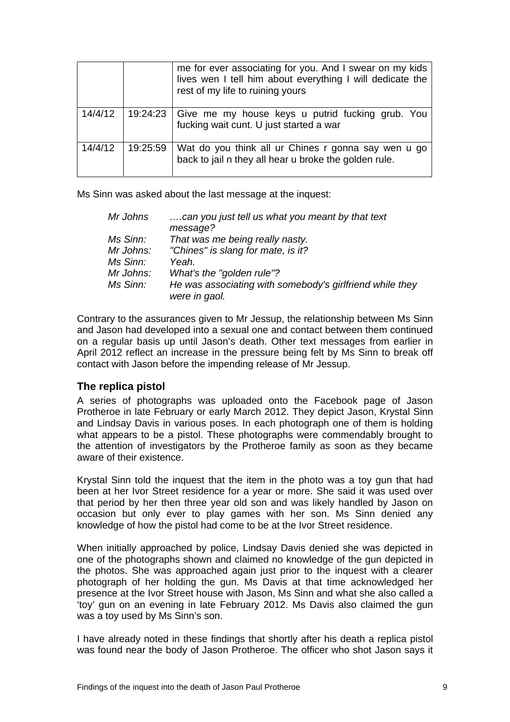|         |          | me for ever associating for you. And I swear on my kids<br>lives wen I tell him about everything I will dedicate the<br>rest of my life to ruining yours |
|---------|----------|----------------------------------------------------------------------------------------------------------------------------------------------------------|
| 14/4/12 | 19:24:23 | Give me my house keys u putrid fucking grub. You<br>fucking wait cunt. U just started a war                                                              |
| 14/4/12 | 19:25:59 | Wat do you think all ur Chines r gonna say wen u go<br>back to jail n they all hear u broke the golden rule.                                             |

Ms Sinn was asked about the last message at the inquest:

| Mr Johns  | can you just tell us what you meant by that text<br>message? |
|-----------|--------------------------------------------------------------|
| Ms Sinn:  | That was me being really nasty.                              |
| Mr Johns: | "Chines" is slang for mate, is it?                           |
| Ms Sinn:  | Yeah.                                                        |
| Mr Johns: | What's the "golden rule"?                                    |
| Ms Sinn:  | He was associating with somebody's girlfriend while they     |
|           | were in gaol.                                                |

Contrary to the assurances given to Mr Jessup, the relationship between Ms Sinn and Jason had developed into a sexual one and contact between them continued on a regular basis up until Jason's death. Other text messages from earlier in April 2012 reflect an increase in the pressure being felt by Ms Sinn to break off contact with Jason before the impending release of Mr Jessup.

#### **The replica pistol**

A series of photographs was uploaded onto the Facebook page of Jason Protheroe in late February or early March 2012. They depict Jason, Krystal Sinn and Lindsay Davis in various poses. In each photograph one of them is holding what appears to be a pistol. These photographs were commendably brought to the attention of investigators by the Protheroe family as soon as they became aware of their existence.

Krystal Sinn told the inquest that the item in the photo was a toy gun that had been at her Ivor Street residence for a year or more. She said it was used over that period by her then three year old son and was likely handled by Jason on occasion but only ever to play games with her son. Ms Sinn denied any knowledge of how the pistol had come to be at the Ivor Street residence.

When initially approached by police, Lindsay Davis denied she was depicted in one of the photographs shown and claimed no knowledge of the gun depicted in the photos. She was approached again just prior to the inquest with a clearer photograph of her holding the gun. Ms Davis at that time acknowledged her presence at the Ivor Street house with Jason, Ms Sinn and what she also called a 'toy' gun on an evening in late February 2012. Ms Davis also claimed the gun was a toy used by Ms Sinn's son.

I have already noted in these findings that shortly after his death a replica pistol was found near the body of Jason Protheroe. The officer who shot Jason says it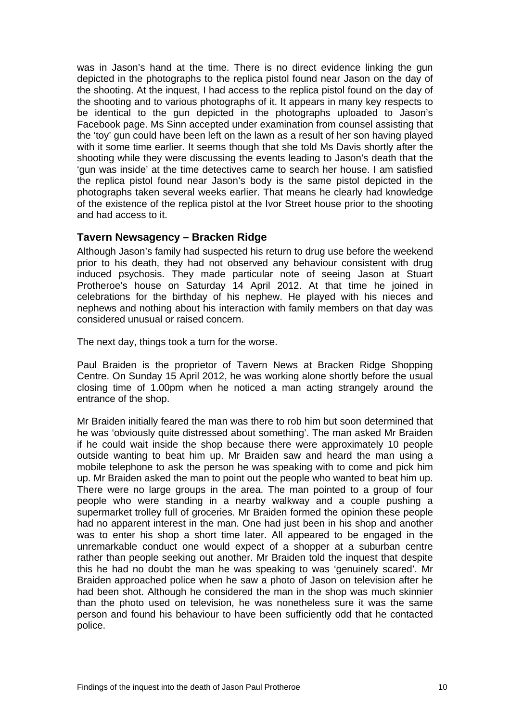<span id="page-11-0"></span>was in Jason's hand at the time. There is no direct evidence linking the gun depicted in the photographs to the replica pistol found near Jason on the day of the shooting. At the inquest, I had access to the replica pistol found on the day of the shooting and to various photographs of it. It appears in many key respects to be identical to the gun depicted in the photographs uploaded to Jason's Facebook page. Ms Sinn accepted under examination from counsel assisting that the 'toy' gun could have been left on the lawn as a result of her son having played with it some time earlier. It seems though that she told Ms Davis shortly after the shooting while they were discussing the events leading to Jason's death that the 'gun was inside' at the time detectives came to search her house. I am satisfied the replica pistol found near Jason's body is the same pistol depicted in the photographs taken several weeks earlier. That means he clearly had knowledge of the existence of the replica pistol at the Ivor Street house prior to the shooting and had access to it.

#### **Tavern Newsagency – Bracken Ridge**

Although Jason's family had suspected his return to drug use before the weekend prior to his death, they had not observed any behaviour consistent with drug induced psychosis. They made particular note of seeing Jason at Stuart Protheroe's house on Saturday 14 April 2012. At that time he joined in celebrations for the birthday of his nephew. He played with his nieces and nephews and nothing about his interaction with family members on that day was considered unusual or raised concern.

The next day, things took a turn for the worse.

Paul Braiden is the proprietor of Tavern News at Bracken Ridge Shopping Centre. On Sunday 15 April 2012, he was working alone shortly before the usual closing time of 1.00pm when he noticed a man acting strangely around the entrance of the shop.

Mr Braiden initially feared the man was there to rob him but soon determined that he was 'obviously quite distressed about something'. The man asked Mr Braiden if he could wait inside the shop because there were approximately 10 people outside wanting to beat him up. Mr Braiden saw and heard the man using a mobile telephone to ask the person he was speaking with to come and pick him up. Mr Braiden asked the man to point out the people who wanted to beat him up. There were no large groups in the area. The man pointed to a group of four people who were standing in a nearby walkway and a couple pushing a supermarket trolley full of groceries. Mr Braiden formed the opinion these people had no apparent interest in the man. One had just been in his shop and another was to enter his shop a short time later. All appeared to be engaged in the unremarkable conduct one would expect of a shopper at a suburban centre rather than people seeking out another. Mr Braiden told the inquest that despite this he had no doubt the man he was speaking to was 'genuinely scared'. Mr Braiden approached police when he saw a photo of Jason on television after he had been shot. Although he considered the man in the shop was much skinnier than the photo used on television, he was nonetheless sure it was the same person and found his behaviour to have been sufficiently odd that he contacted police.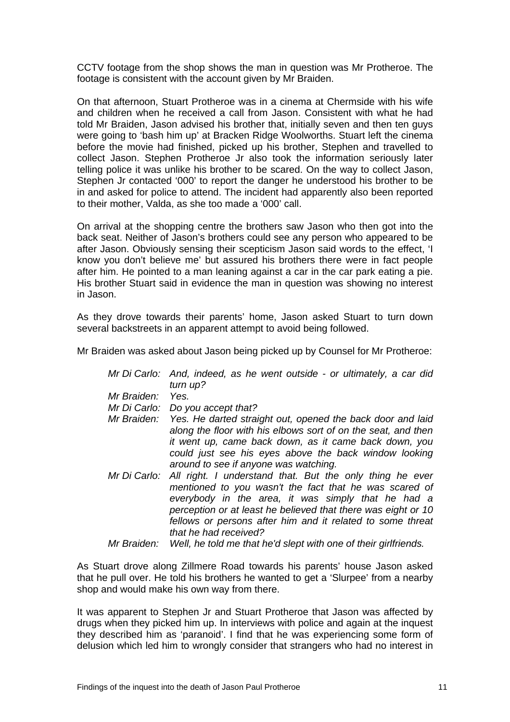CCTV footage from the shop shows the man in question was Mr Protheroe. The footage is consistent with the account given by Mr Braiden.

On that afternoon, Stuart Protheroe was in a cinema at Chermside with his wife and children when he received a call from Jason. Consistent with what he had told Mr Braiden, Jason advised his brother that, initially seven and then ten guys were going to 'bash him up' at Bracken Ridge Woolworths. Stuart left the cinema before the movie had finished, picked up his brother, Stephen and travelled to collect Jason. Stephen Protheroe Jr also took the information seriously later telling police it was unlike his brother to be scared. On the way to collect Jason, Stephen Jr contacted '000' to report the danger he understood his brother to be in and asked for police to attend. The incident had apparently also been reported to their mother, Valda, as she too made a '000' call.

On arrival at the shopping centre the brothers saw Jason who then got into the back seat. Neither of Jason's brothers could see any person who appeared to be after Jason. Obviously sensing their scepticism Jason said words to the effect, 'I know you don't believe me' but assured his brothers there were in fact people after him. He pointed to a man leaning against a car in the car park eating a pie. His brother Stuart said in evidence the man in question was showing no interest in Jason.

As they drove towards their parents' home, Jason asked Stuart to turn down several backstreets in an apparent attempt to avoid being followed.

Mr Braiden was asked about Jason being picked up by Counsel for Mr Protheroe:

|              | Mr Di Carlo: And, indeed, as he went outside - or ultimately, a car did |
|--------------|-------------------------------------------------------------------------|
|              | turn up?                                                                |
| Mr Braiden:  | Yes.                                                                    |
| Mr Di Carlo: | Do you accept that?                                                     |
|              | Mr Braiden: Yes. He darted straight out, opened the back door and laid  |
|              | along the floor with his elbows sort of on the seat, and then           |
|              | it went up, came back down, as it came back down, you                   |
|              | could just see his eyes above the back window looking                   |
|              | around to see if anyone was watching.                                   |
| Mr Di Carlo: | All right. I understand that. But the only thing he ever                |
|              | mentioned to you wasn't the fact that he was scared of                  |
|              | everybody in the area, it was simply that he had a                      |
|              | perception or at least he believed that there was eight or 10           |
|              | fellows or persons after him and it related to some threat              |
|              | that he had received?                                                   |
|              |                                                                         |

*Mr Braiden: Well, he told me that he'd slept with one of their girlfriends.* 

As Stuart drove along Zillmere Road towards his parents' house Jason asked that he pull over. He told his brothers he wanted to get a 'Slurpee' from a nearby shop and would make his own way from there.

It was apparent to Stephen Jr and Stuart Protheroe that Jason was affected by drugs when they picked him up. In interviews with police and again at the inquest they described him as 'paranoid'. I find that he was experiencing some form of delusion which led him to wrongly consider that strangers who had no interest in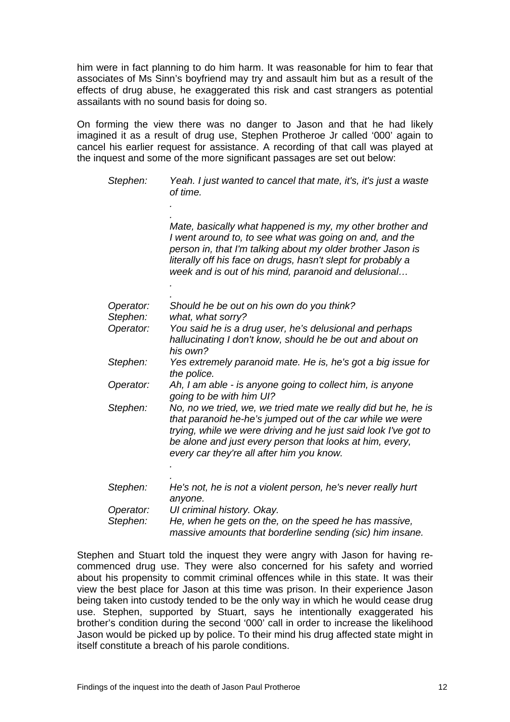him were in fact planning to do him harm. It was reasonable for him to fear that associates of Ms Sinn's boyfriend may try and assault him but as a result of the effects of drug abuse, he exaggerated this risk and cast strangers as potential assailants with no sound basis for doing so.

On forming the view there was no danger to Jason and that he had likely imagined it as a result of drug use, Stephen Protheroe Jr called '000' again to cancel his earlier request for assistance. A recording of that call was played at the inquest and some of the more significant passages are set out below:

| Stephen:              | Yeah. I just wanted to cancel that mate, it's, it's just a waste<br>of time.                                                                                                                                                                                                                                |
|-----------------------|-------------------------------------------------------------------------------------------------------------------------------------------------------------------------------------------------------------------------------------------------------------------------------------------------------------|
|                       |                                                                                                                                                                                                                                                                                                             |
|                       | Mate, basically what happened is my, my other brother and<br>I went around to, to see what was going on and, and the<br>person in, that I'm talking about my older brother Jason is<br>literally off his face on drugs, hasn't slept for probably a<br>week and is out of his mind, paranoid and delusional |
|                       |                                                                                                                                                                                                                                                                                                             |
| Operator:<br>Stephen: | Should he be out on his own do you think?<br>what, what sorry?                                                                                                                                                                                                                                              |
| Operator:             | You said he is a drug user, he's delusional and perhaps<br>hallucinating I don't know, should he be out and about on<br>his own?                                                                                                                                                                            |
| Stephen:              | Yes extremely paranoid mate. He is, he's got a big issue for<br>the police.                                                                                                                                                                                                                                 |
| Operator:             | Ah, I am able - is anyone going to collect him, is anyone<br>going to be with him UI?                                                                                                                                                                                                                       |
| Stephen:              | No, no we tried, we, we tried mate we really did but he, he is<br>that paranoid he-he's jumped out of the car while we were<br>trying, while we were driving and he just said look I've got to<br>be alone and just every person that looks at him, every,<br>every car they're all after him you know.     |
|                       |                                                                                                                                                                                                                                                                                                             |
| Stephen:              | He's not, he is not a violent person, he's never really hurt<br>anyone.                                                                                                                                                                                                                                     |
| Operator:             | UI criminal history. Okay.                                                                                                                                                                                                                                                                                  |
| Stephen:              | He, when he gets on the, on the speed he has massive,<br>massive amounts that borderline sending (sic) him insane.                                                                                                                                                                                          |

Stephen and Stuart told the inquest they were angry with Jason for having recommenced drug use. They were also concerned for his safety and worried about his propensity to commit criminal offences while in this state. It was their view the best place for Jason at this time was prison. In their experience Jason being taken into custody tended to be the only way in which he would cease drug use. Stephen, supported by Stuart, says he intentionally exaggerated his brother's condition during the second '000' call in order to increase the likelihood Jason would be picked up by police. To their mind his drug affected state might in itself constitute a breach of his parole conditions.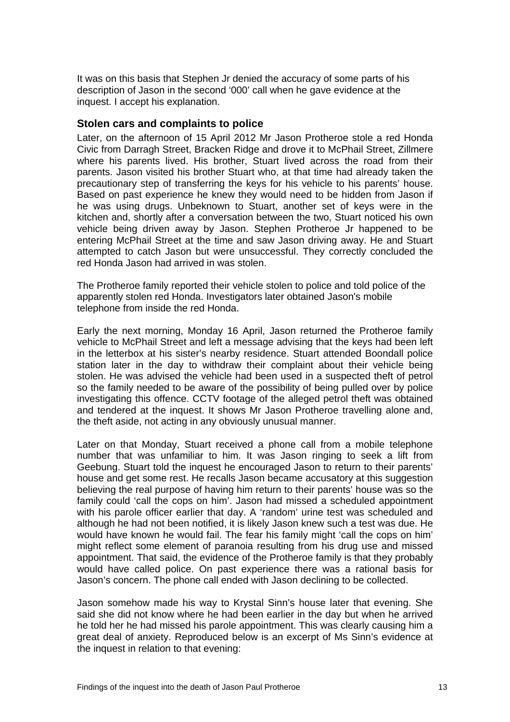<span id="page-14-0"></span>It was on this basis that Stephen Jr denied the accuracy of some parts of his description of Jason in the second '000' call when he gave evidence at the inquest. I accept his explanation.

#### **Stolen cars and complaints to police**

Later, on the afternoon of 15 April 2012 Mr Jason Protheroe stole a red Honda Civic from Darragh Street, Bracken Ridge and drove it to McPhail Street, Zillmere where his parents lived. His brother, Stuart lived across the road from their parents. Jason visited his brother Stuart who, at that time had already taken the precautionary step of transferring the keys for his vehicle to his parents' house. Based on past experience he knew they would need to be hidden from Jason if he was using drugs. Unbeknown to Stuart, another set of keys were in the kitchen and, shortly after a conversation between the two, Stuart noticed his own vehicle being driven away by Jason. Stephen Protheroe Jr happened to be entering McPhail Street at the time and saw Jason driving away. He and Stuart attempted to catch Jason but were unsuccessful. They correctly concluded the red Honda Jason had arrived in was stolen.

The Protheroe family reported their vehicle stolen to police and told police of the apparently stolen red Honda. Investigators later obtained Jason's mobile telephone from inside the red Honda.

Early the next morning, Monday 16 April, Jason returned the Protheroe family vehicle to McPhail Street and left a message advising that the keys had been left in the letterbox at his sister's nearby residence. Stuart attended Boondall police station later in the day to withdraw their complaint about their vehicle being stolen. He was advised the vehicle had been used in a suspected theft of petrol so the family needed to be aware of the possibility of being pulled over by police investigating this offence. CCTV footage of the alleged petrol theft was obtained and tendered at the inquest. It shows Mr Jason Protheroe travelling alone and, the theft aside, not acting in any obviously unusual manner.

Later on that Monday, Stuart received a phone call from a mobile telephone number that was unfamiliar to him. It was Jason ringing to seek a lift from Geebung. Stuart told the inquest he encouraged Jason to return to their parents' house and get some rest. He recalls Jason became accusatory at this suggestion believing the real purpose of having him return to their parents' house was so the family could 'call the cops on him'. Jason had missed a scheduled appointment with his parole officer earlier that day. A 'random' urine test was scheduled and although he had not been notified, it is likely Jason knew such a test was due. He would have known he would fail. The fear his family might 'call the cops on him' might reflect some element of paranoia resulting from his drug use and missed appointment. That said, the evidence of the Protheroe family is that they probably would have called police. On past experience there was a rational basis for Jason's concern. The phone call ended with Jason declining to be collected.

Jason somehow made his way to Krystal Sinn's house later that evening. She said she did not know where he had been earlier in the day but when he arrived he told her he had missed his parole appointment. This was clearly causing him a great deal of anxiety. Reproduced below is an excerpt of Ms Sinn's evidence at the inquest in relation to that evening: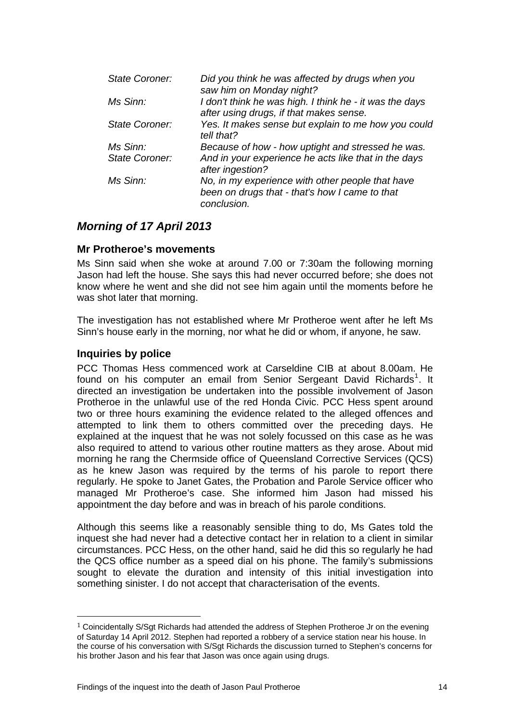<span id="page-15-0"></span>

| <b>State Coroner:</b> | Did you think he was affected by drugs when you<br>saw him on Monday night?                                       |
|-----------------------|-------------------------------------------------------------------------------------------------------------------|
| Ms Sinn:              | I don't think he was high. I think he - it was the days<br>after using drugs, if that makes sense.                |
| <b>State Coroner:</b> | Yes. It makes sense but explain to me how you could<br>tell that?                                                 |
| Ms Sinn:              | Because of how - how uptight and stressed he was.                                                                 |
| <b>State Coroner:</b> | And in your experience he acts like that in the days<br>after ingestion?                                          |
| Ms Sinn:              | No, in my experience with other people that have<br>been on drugs that - that's how I came to that<br>conclusion. |

# *Morning of 17 April 2013*

#### **Mr Protheroe's movements**

Ms Sinn said when she woke at around 7.00 or 7:30am the following morning Jason had left the house. She says this had never occurred before; she does not know where he went and she did not see him again until the moments before he was shot later that morning.

The investigation has not established where Mr Protheroe went after he left Ms Sinn's house early in the morning, nor what he did or whom, if anyone, he saw.

#### **Inquiries by police**

PCC Thomas Hess commenced work at Carseldine CIB at about 8.00am. He found on his computer an email from Senior Sergeant David Richards<sup>[1](#page-15-1)</sup>. It directed an investigation be undertaken into the possible involvement of Jason Protheroe in the unlawful use of the red Honda Civic. PCC Hess spent around two or three hours examining the evidence related to the alleged offences and attempted to link them to others committed over the preceding days. He explained at the inquest that he was not solely focussed on this case as he was also required to attend to various other routine matters as they arose. About mid morning he rang the Chermside office of Queensland Corrective Services (QCS) as he knew Jason was required by the terms of his parole to report there regularly. He spoke to Janet Gates, the Probation and Parole Service officer who managed Mr Protheroe's case. She informed him Jason had missed his appointment the day before and was in breach of his parole conditions.

Although this seems like a reasonably sensible thing to do, Ms Gates told the inquest she had never had a detective contact her in relation to a client in similar circumstances. PCC Hess, on the other hand, said he did this so regularly he had the QCS office number as a speed dial on his phone. The family's submissions sought to elevate the duration and intensity of this initial investigation into something sinister. I do not accept that characterisation of the events.

<span id="page-15-1"></span> $1$  Coincidentally S/Sgt Richards had attended the address of Stephen Protheroe Jr on the evening of Saturday 14 April 2012. Stephen had reported a robbery of a service station near his house. In the course of his conversation with S/Sgt Richards the discussion turned to Stephen's concerns for his brother Jason and his fear that Jason was once again using drugs.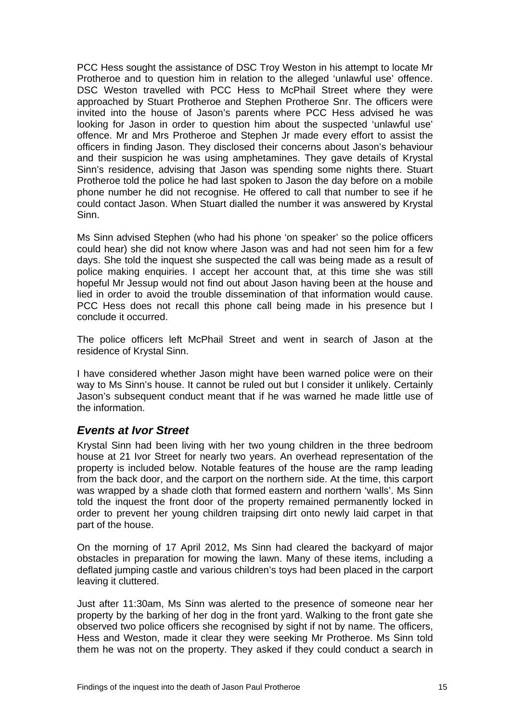<span id="page-16-0"></span>PCC Hess sought the assistance of DSC Troy Weston in his attempt to locate Mr Protheroe and to question him in relation to the alleged 'unlawful use' offence. DSC Weston travelled with PCC Hess to McPhail Street where they were approached by Stuart Protheroe and Stephen Protheroe Snr. The officers were invited into the house of Jason's parents where PCC Hess advised he was looking for Jason in order to question him about the suspected 'unlawful use' offence. Mr and Mrs Protheroe and Stephen Jr made every effort to assist the officers in finding Jason. They disclosed their concerns about Jason's behaviour and their suspicion he was using amphetamines. They gave details of Krystal Sinn's residence, advising that Jason was spending some nights there. Stuart Protheroe told the police he had last spoken to Jason the day before on a mobile phone number he did not recognise. He offered to call that number to see if he could contact Jason. When Stuart dialled the number it was answered by Krystal Sinn.

Ms Sinn advised Stephen (who had his phone 'on speaker' so the police officers could hear) she did not know where Jason was and had not seen him for a few days. She told the inquest she suspected the call was being made as a result of police making enquiries. I accept her account that, at this time she was still hopeful Mr Jessup would not find out about Jason having been at the house and lied in order to avoid the trouble dissemination of that information would cause. PCC Hess does not recall this phone call being made in his presence but I conclude it occurred.

The police officers left McPhail Street and went in search of Jason at the residence of Krystal Sinn.

I have considered whether Jason might have been warned police were on their way to Ms Sinn's house. It cannot be ruled out but I consider it unlikely. Certainly Jason's subsequent conduct meant that if he was warned he made little use of the information.

## *Events at Ivor Street*

Krystal Sinn had been living with her two young children in the three bedroom house at 21 Ivor Street for nearly two years. An overhead representation of the property is included below. Notable features of the house are the ramp leading from the back door, and the carport on the northern side. At the time, this carport was wrapped by a shade cloth that formed eastern and northern 'walls'. Ms Sinn told the inquest the front door of the property remained permanently locked in order to prevent her young children traipsing dirt onto newly laid carpet in that part of the house.

On the morning of 17 April 2012, Ms Sinn had cleared the backyard of major obstacles in preparation for mowing the lawn. Many of these items, including a deflated jumping castle and various children's toys had been placed in the carport leaving it cluttered.

Just after 11:30am, Ms Sinn was alerted to the presence of someone near her property by the barking of her dog in the front yard. Walking to the front gate she observed two police officers she recognised by sight if not by name. The officers, Hess and Weston, made it clear they were seeking Mr Protheroe. Ms Sinn told them he was not on the property. They asked if they could conduct a search in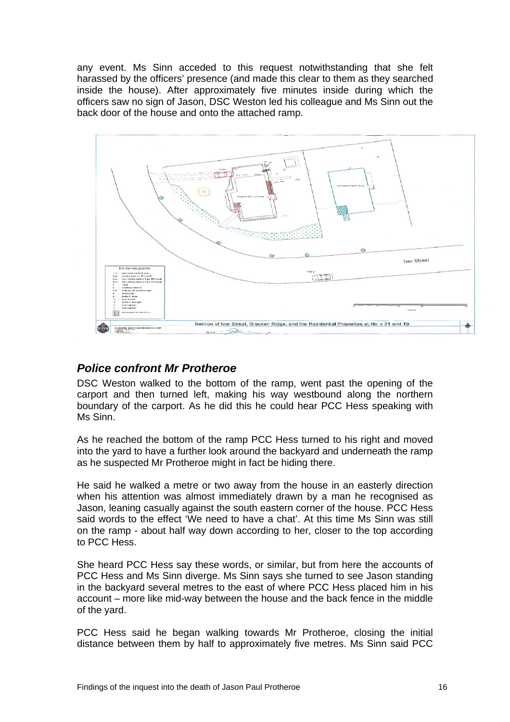<span id="page-17-0"></span>any event. Ms Sinn acceded to this request notwithstanding that she felt harassed by the officers' presence (and made this clear to them as they searched inside the house). After approximately five minutes inside during which the officers saw no sign of Jason, DSC Weston led his colleague and Ms Sinn out the back door of the house and onto the attached ramp.



# *Police confront Mr Protheroe*

DSC Weston walked to the bottom of the ramp, went past the opening of the carport and then turned left, making his way westbound along the northern boundary of the carport. As he did this he could hear PCC Hess speaking with Ms Sinn.

As he reached the bottom of the ramp PCC Hess turned to his right and moved into the yard to have a further look around the backyard and underneath the ramp as he suspected Mr Protheroe might in fact be hiding there.

He said he walked a metre or two away from the house in an easterly direction when his attention was almost immediately drawn by a man he recognised as Jason, leaning casually against the south eastern corner of the house. PCC Hess said words to the effect 'We need to have a chat'. At this time Ms Sinn was still on the ramp - about half way down according to her, closer to the top according to PCC Hess.

She heard PCC Hess say these words, or similar, but from here the accounts of PCC Hess and Ms Sinn diverge. Ms Sinn says she turned to see Jason standing in the backyard several metres to the east of where PCC Hess placed him in his account – more like mid-way between the house and the back fence in the middle of the yard.

PCC Hess said he began walking towards Mr Protheroe, closing the initial distance between them by half to approximately five metres. Ms Sinn said PCC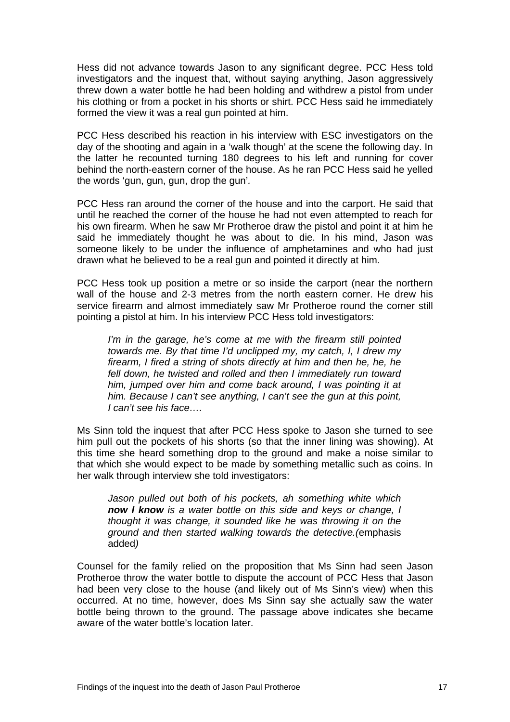Hess did not advance towards Jason to any significant degree. PCC Hess told investigators and the inquest that, without saying anything, Jason aggressively threw down a water bottle he had been holding and withdrew a pistol from under his clothing or from a pocket in his shorts or shirt. PCC Hess said he immediately formed the view it was a real gun pointed at him.

PCC Hess described his reaction in his interview with ESC investigators on the day of the shooting and again in a 'walk though' at the scene the following day. In the latter he recounted turning 180 degrees to his left and running for cover behind the north-eastern corner of the house. As he ran PCC Hess said he yelled the words 'gun, gun, gun, drop the gun'*.* 

PCC Hess ran around the corner of the house and into the carport. He said that until he reached the corner of the house he had not even attempted to reach for his own firearm. When he saw Mr Protheroe draw the pistol and point it at him he said he immediately thought he was about to die. In his mind, Jason was someone likely to be under the influence of amphetamines and who had just drawn what he believed to be a real gun and pointed it directly at him.

PCC Hess took up position a metre or so inside the carport (near the northern wall of the house and 2-3 metres from the north eastern corner. He drew his service firearm and almost immediately saw Mr Protheroe round the corner still pointing a pistol at him. In his interview PCC Hess told investigators:

*I'm in the garage, he's come at me with the firearm still pointed towards me. By that time I'd unclipped my, my catch, I, I drew my firearm, I fired a string of shots directly at him and then he, he, he fell down, he twisted and rolled and then I immediately run toward him, jumped over him and come back around, I was pointing it at him. Because I can't see anything, I can't see the gun at this point, I can't see his face….* 

Ms Sinn told the inquest that after PCC Hess spoke to Jason she turned to see him pull out the pockets of his shorts (so that the inner lining was showing). At this time she heard something drop to the ground and make a noise similar to that which she would expect to be made by something metallic such as coins. In her walk through interview she told investigators:

*Jason pulled out both of his pockets, ah something white which now I know is a water bottle on this side and keys or change, I thought it was change, it sounded like he was throwing it on the ground and then started walking towards the detective.(*emphasis added*)* 

Counsel for the family relied on the proposition that Ms Sinn had seen Jason Protheroe throw the water bottle to dispute the account of PCC Hess that Jason had been very close to the house (and likely out of Ms Sinn's view) when this occurred. At no time, however, does Ms Sinn say she actually saw the water bottle being thrown to the ground. The passage above indicates she became aware of the water bottle's location later.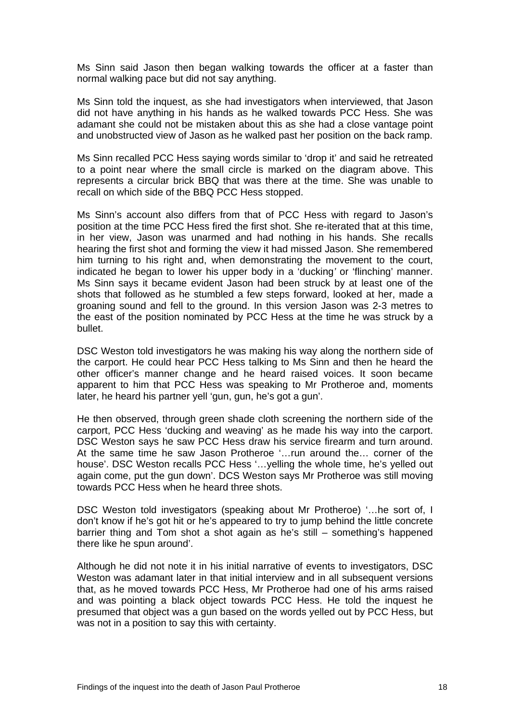Ms Sinn said Jason then began walking towards the officer at a faster than normal walking pace but did not say anything.

Ms Sinn told the inquest, as she had investigators when interviewed, that Jason did not have anything in his hands as he walked towards PCC Hess. She was adamant she could not be mistaken about this as she had a close vantage point and unobstructed view of Jason as he walked past her position on the back ramp.

Ms Sinn recalled PCC Hess saying words similar to 'drop it' and said he retreated to a point near where the small circle is marked on the diagram above. This represents a circular brick BBQ that was there at the time. She was unable to recall on which side of the BBQ PCC Hess stopped.

Ms Sinn's account also differs from that of PCC Hess with regard to Jason's position at the time PCC Hess fired the first shot. She re-iterated that at this time, in her view, Jason was unarmed and had nothing in his hands. She recalls hearing the first shot and forming the view it had missed Jason. She remembered him turning to his right and, when demonstrating the movement to the court, indicated he began to lower his upper body in a 'ducking*'* or 'flinching' manner. Ms Sinn says it became evident Jason had been struck by at least one of the shots that followed as he stumbled a few steps forward, looked at her, made a groaning sound and fell to the ground. In this version Jason was 2-3 metres to the east of the position nominated by PCC Hess at the time he was struck by a bullet.

DSC Weston told investigators he was making his way along the northern side of the carport. He could hear PCC Hess talking to Ms Sinn and then he heard the other officer's manner change and he heard raised voices. It soon became apparent to him that PCC Hess was speaking to Mr Protheroe and, moments later, he heard his partner yell 'gun, gun, he's got a gun'.

He then observed, through green shade cloth screening the northern side of the carport, PCC Hess 'ducking and weaving' as he made his way into the carport. DSC Weston says he saw PCC Hess draw his service firearm and turn around. At the same time he saw Jason Protheroe '…run around the… corner of the house'. DSC Weston recalls PCC Hess '…yelling the whole time, he's yelled out again come, put the gun down'. DCS Weston says Mr Protheroe was still moving towards PCC Hess when he heard three shots.

DSC Weston told investigators (speaking about Mr Protheroe) '…he sort of, I don't know if he's got hit or he's appeared to try to jump behind the little concrete barrier thing and Tom shot a shot again as he's still – something's happened there like he spun around'.

Although he did not note it in his initial narrative of events to investigators, DSC Weston was adamant later in that initial interview and in all subsequent versions that, as he moved towards PCC Hess, Mr Protheroe had one of his arms raised and was pointing a black object towards PCC Hess. He told the inquest he presumed that object was a gun based on the words yelled out by PCC Hess, but was not in a position to say this with certainty.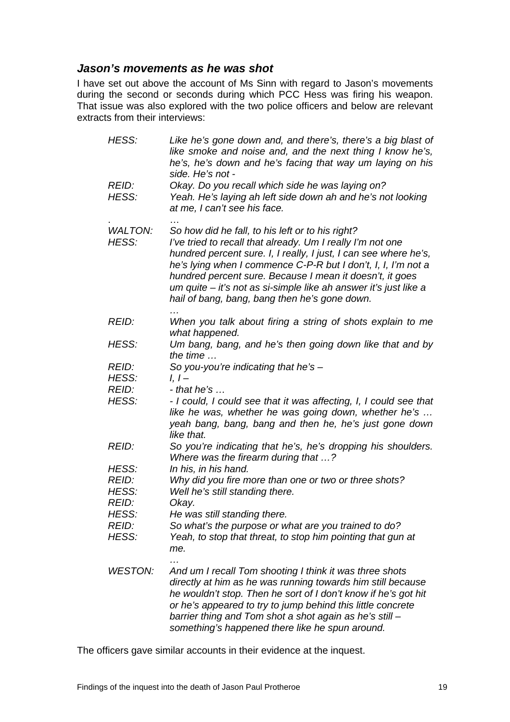## <span id="page-20-0"></span>*Jason's movements as he was shot*

I have set out above the account of Ms Sinn with regard to Jason's movements during the second or seconds during which PCC Hess was firing his weapon. That issue was also explored with the two police officers and below are relevant extracts from their interviews:

| HESS:                            | Like he's gone down and, and there's, there's a big blast of<br>like smoke and noise and, and the next thing I know he's,<br>he's, he's down and he's facing that way um laying on his<br>side. He's not -                                                                                                                                                                                                                           |
|----------------------------------|--------------------------------------------------------------------------------------------------------------------------------------------------------------------------------------------------------------------------------------------------------------------------------------------------------------------------------------------------------------------------------------------------------------------------------------|
| REID:<br>HESS:                   | Okay. Do you recall which side he was laying on?<br>Yeah. He's laying ah left side down ah and he's not looking<br>at me, I can't see his face.                                                                                                                                                                                                                                                                                      |
| <b>WALTON:</b><br>HESS:          | So how did he fall, to his left or to his right?<br>I've tried to recall that already. Um I really I'm not one<br>hundred percent sure. I, I really, I just, I can see where he's,<br>he's lying when I commence C-P-R but I don't, I, I, I'm not a<br>hundred percent sure. Because I mean it doesn't, it goes<br>um quite – it's not as si-simple like ah answer it's just like a<br>hail of bang, bang, bang then he's gone down. |
| REID:                            | When you talk about firing a string of shots explain to me<br>what happened.                                                                                                                                                                                                                                                                                                                                                         |
| HESS:                            | Um bang, bang, and he's then going down like that and by<br>the time $\ldots$                                                                                                                                                                                                                                                                                                                                                        |
| REID:<br>HESS:                   | So you-you're indicating that he's $-$<br>$l, l -$                                                                                                                                                                                                                                                                                                                                                                                   |
| REID:<br>HESS:                   | $-$ that he's $\ldots$<br>- I could, I could see that it was affecting, I, I could see that<br>like he was, whether he was going down, whether he's<br>yeah bang, bang, bang and then he, he's just gone down<br>like that.                                                                                                                                                                                                          |
| <b>REID:</b>                     | So you're indicating that he's, he's dropping his shoulders.<br>Where was the firearm during that ?                                                                                                                                                                                                                                                                                                                                  |
| HESS:<br>REID:<br>HESS:<br>REID: | In his, in his hand.<br>Why did you fire more than one or two or three shots?<br>Well he's still standing there.<br>Okay.                                                                                                                                                                                                                                                                                                            |
| HESS:<br><i>REID:</i><br>HESS:   | He was still standing there.<br>So what's the purpose or what are you trained to do?<br>Yeah, to stop that threat, to stop him pointing that gun at<br>me.                                                                                                                                                                                                                                                                           |
| <b>WESTON:</b>                   | And um I recall Tom shooting I think it was three shots<br>directly at him as he was running towards him still because<br>he wouldn't stop. Then he sort of I don't know if he's got hit<br>or he's appeared to try to jump behind this little concrete<br>barrier thing and Tom shot a shot again as he's still -<br>something's happened there like he spun around.                                                                |

The officers gave similar accounts in their evidence at the inquest.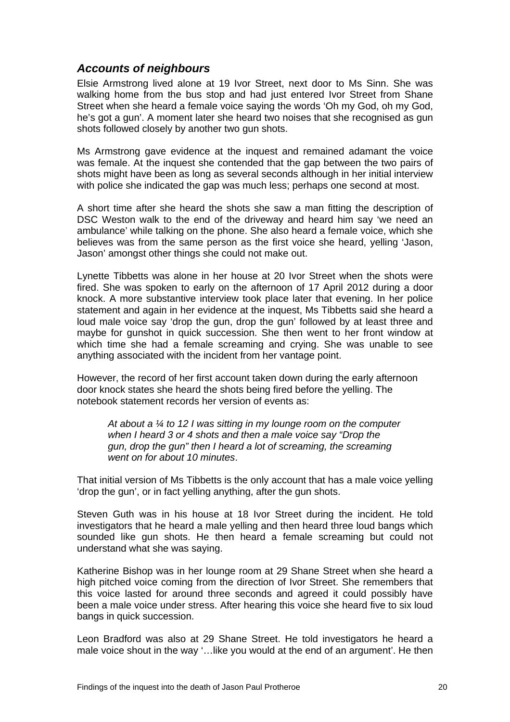## <span id="page-21-0"></span>*Accounts of neighbours*

Elsie Armstrong lived alone at 19 Ivor Street, next door to Ms Sinn. She was walking home from the bus stop and had just entered Ivor Street from Shane Street when she heard a female voice saying the words 'Oh my God, oh my God, he's got a gun'. A moment later she heard two noises that she recognised as gun shots followed closely by another two gun shots.

Ms Armstrong gave evidence at the inquest and remained adamant the voice was female. At the inquest she contended that the gap between the two pairs of shots might have been as long as several seconds although in her initial interview with police she indicated the gap was much less; perhaps one second at most.

A short time after she heard the shots she saw a man fitting the description of DSC Weston walk to the end of the driveway and heard him say 'we need an ambulance' while talking on the phone. She also heard a female voice, which she believes was from the same person as the first voice she heard, yelling 'Jason, Jason' amongst other things she could not make out.

Lynette Tibbetts was alone in her house at 20 Ivor Street when the shots were fired. She was spoken to early on the afternoon of 17 April 2012 during a door knock. A more substantive interview took place later that evening. In her police statement and again in her evidence at the inquest, Ms Tibbetts said she heard a loud male voice say 'drop the gun, drop the gun' followed by at least three and maybe for gunshot in quick succession. She then went to her front window at which time she had a female screaming and crying. She was unable to see anything associated with the incident from her vantage point.

However, the record of her first account taken down during the early afternoon door knock states she heard the shots being fired before the yelling. The notebook statement records her version of events as:

*At about a ¼ to 12 I was sitting in my lounge room on the computer when I heard 3 or 4 shots and then a male voice say "Drop the gun, drop the gun" then I heard a lot of screaming, the screaming went on for about 10 minutes*.

That initial version of Ms Tibbetts is the only account that has a male voice yelling 'drop the gun', or in fact yelling anything, after the gun shots.

Steven Guth was in his house at 18 Ivor Street during the incident. He told investigators that he heard a male yelling and then heard three loud bangs which sounded like gun shots. He then heard a female screaming but could not understand what she was saying.

Katherine Bishop was in her lounge room at 29 Shane Street when she heard a high pitched voice coming from the direction of Ivor Street. She remembers that this voice lasted for around three seconds and agreed it could possibly have been a male voice under stress. After hearing this voice she heard five to six loud bangs in quick succession.

Leon Bradford was also at 29 Shane Street. He told investigators he heard a male voice shout in the way '…like you would at the end of an argument'. He then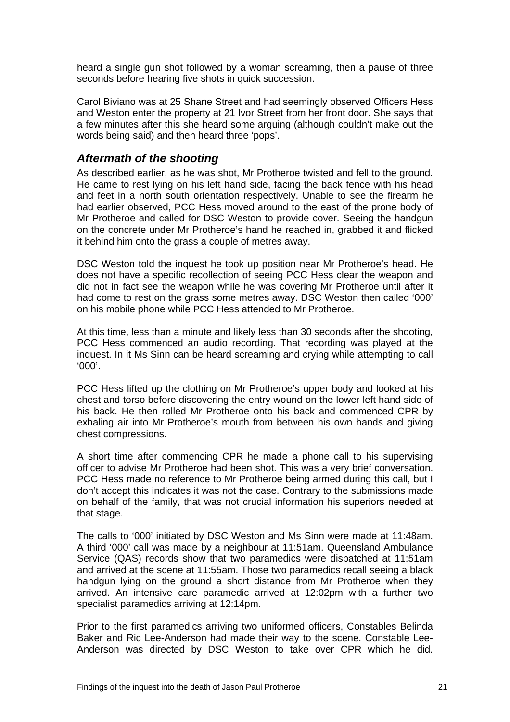<span id="page-22-0"></span>heard a single gun shot followed by a woman screaming, then a pause of three seconds before hearing five shots in quick succession.

Carol Biviano was at 25 Shane Street and had seemingly observed Officers Hess and Weston enter the property at 21 Ivor Street from her front door. She says that a few minutes after this she heard some arguing (although couldn't make out the words being said) and then heard three 'pops'.

### *Aftermath of the shooting*

As described earlier, as he was shot, Mr Protheroe twisted and fell to the ground. He came to rest lying on his left hand side, facing the back fence with his head and feet in a north south orientation respectively. Unable to see the firearm he had earlier observed, PCC Hess moved around to the east of the prone body of Mr Protheroe and called for DSC Weston to provide cover. Seeing the handgun on the concrete under Mr Protheroe's hand he reached in, grabbed it and flicked it behind him onto the grass a couple of metres away.

DSC Weston told the inquest he took up position near Mr Protheroe's head. He does not have a specific recollection of seeing PCC Hess clear the weapon and did not in fact see the weapon while he was covering Mr Protheroe until after it had come to rest on the grass some metres away. DSC Weston then called '000' on his mobile phone while PCC Hess attended to Mr Protheroe.

At this time, less than a minute and likely less than 30 seconds after the shooting, PCC Hess commenced an audio recording. That recording was played at the inquest. In it Ms Sinn can be heard screaming and crying while attempting to call '000'.

PCC Hess lifted up the clothing on Mr Protheroe's upper body and looked at his chest and torso before discovering the entry wound on the lower left hand side of his back. He then rolled Mr Protheroe onto his back and commenced CPR by exhaling air into Mr Protheroe's mouth from between his own hands and giving chest compressions.

A short time after commencing CPR he made a phone call to his supervising officer to advise Mr Protheroe had been shot. This was a very brief conversation. PCC Hess made no reference to Mr Protheroe being armed during this call, but I don't accept this indicates it was not the case. Contrary to the submissions made on behalf of the family, that was not crucial information his superiors needed at that stage.

The calls to '000' initiated by DSC Weston and Ms Sinn were made at 11:48am. A third '000' call was made by a neighbour at 11:51am. Queensland Ambulance Service (QAS) records show that two paramedics were dispatched at 11:51am and arrived at the scene at 11:55am. Those two paramedics recall seeing a black handgun lying on the ground a short distance from Mr Protheroe when they arrived. An intensive care paramedic arrived at 12:02pm with a further two specialist paramedics arriving at 12:14pm.

Prior to the first paramedics arriving two uniformed officers, Constables Belinda Baker and Ric Lee-Anderson had made their way to the scene. Constable Lee-Anderson was directed by DSC Weston to take over CPR which he did.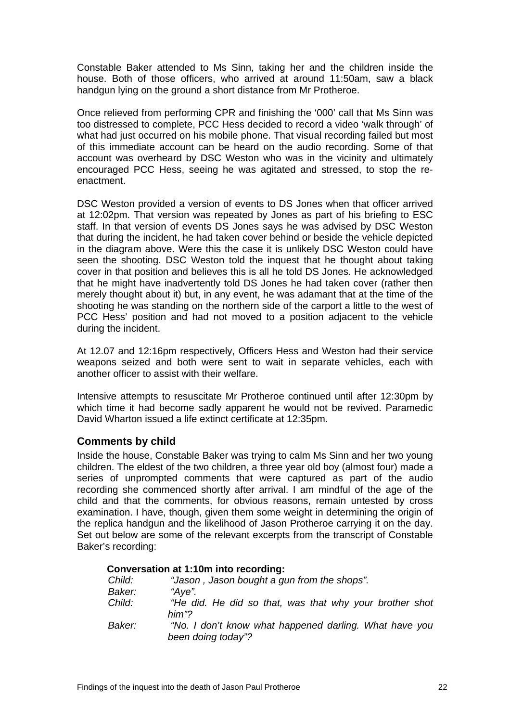<span id="page-23-0"></span>Constable Baker attended to Ms Sinn, taking her and the children inside the house. Both of those officers, who arrived at around 11:50am, saw a black handgun lying on the ground a short distance from Mr Protheroe.

Once relieved from performing CPR and finishing the '000' call that Ms Sinn was too distressed to complete, PCC Hess decided to record a video 'walk through' of what had just occurred on his mobile phone. That visual recording failed but most of this immediate account can be heard on the audio recording. Some of that account was overheard by DSC Weston who was in the vicinity and ultimately encouraged PCC Hess, seeing he was agitated and stressed, to stop the reenactment.

DSC Weston provided a version of events to DS Jones when that officer arrived at 12:02pm. That version was repeated by Jones as part of his briefing to ESC staff. In that version of events DS Jones says he was advised by DSC Weston that during the incident, he had taken cover behind or beside the vehicle depicted in the diagram above. Were this the case it is unlikely DSC Weston could have seen the shooting. DSC Weston told the inquest that he thought about taking cover in that position and believes this is all he told DS Jones. He acknowledged that he might have inadvertently told DS Jones he had taken cover (rather then merely thought about it) but, in any event, he was adamant that at the time of the shooting he was standing on the northern side of the carport a little to the west of PCC Hess' position and had not moved to a position adjacent to the vehicle during the incident.

At 12.07 and 12:16pm respectively, Officers Hess and Weston had their service weapons seized and both were sent to wait in separate vehicles, each with another officer to assist with their welfare.

Intensive attempts to resuscitate Mr Protheroe continued until after 12:30pm by which time it had become sadly apparent he would not be revived. Paramedic David Wharton issued a life extinct certificate at 12:35pm.

#### **Comments by child**

Inside the house, Constable Baker was trying to calm Ms Sinn and her two young children. The eldest of the two children, a three year old boy (almost four) made a series of unprompted comments that were captured as part of the audio recording she commenced shortly after arrival. I am mindful of the age of the child and that the comments, for obvious reasons, remain untested by cross examination. I have, though, given them some weight in determining the origin of the replica handgun and the likelihood of Jason Protheroe carrying it on the day. Set out below are some of the relevant excerpts from the transcript of Constable Baker's recording:

|        | Conversation at 1:10m into recording:                                        |
|--------|------------------------------------------------------------------------------|
| Child: | "Jason, Jason bought a gun from the shops".                                  |
| Baker: | "Aye".                                                                       |
| Child: | "He did. He did so that, was that why your brother shot                      |
|        | him"?                                                                        |
| Baker: | "No. I don't know what happened darling. What have you<br>been doing today"? |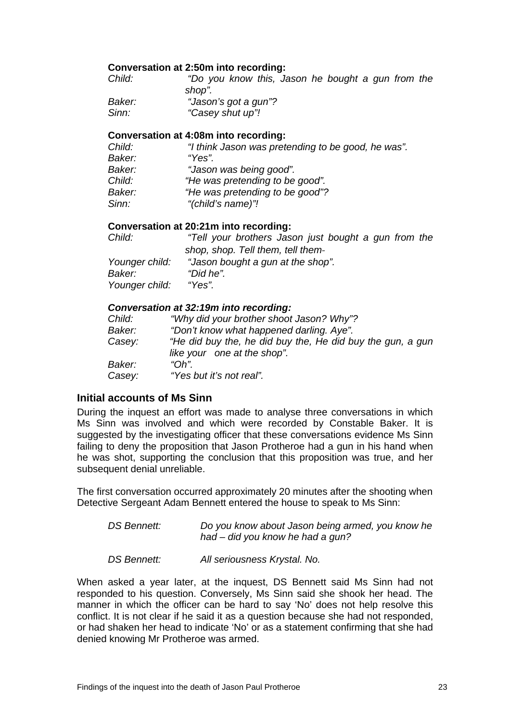#### <span id="page-24-0"></span>**Conversation at 2:50m into recording:**

| Child: | "Do you know this, Jason he bought a gun from the |  |
|--------|---------------------------------------------------|--|
|        | shop".                                            |  |
| Baker: | "Jason's got a gun"?                              |  |
| Sinn:  | "Casey shut up"!                                  |  |

#### **Conversation at 4:08m into recording:**

| "I think Jason was pretending to be good, he was". |
|----------------------------------------------------|
| "Yes".                                             |
| "Jason was being good".                            |
| "He was pretending to be good".                    |
| "He was pretending to be good"?                    |
| "(child's name)"!                                  |
|                                                    |

#### **Conversation at 20:21m into recording:**

| Child:         | "Tell your brothers Jason just bought a gun from the |
|----------------|------------------------------------------------------|
|                | shop, shop. Tell them, tell them-                    |
| Younger child: | "Jason bought a gun at the shop".                    |
| Baker:         | "Did he".                                            |
| Younger child: | "Yes".                                               |

#### *Conversation at 32:19m into recording:*

| Child: | "Why did your brother shoot Jason? Why"?                                                  |
|--------|-------------------------------------------------------------------------------------------|
| Baker: | "Don't know what happened darling. Aye".                                                  |
| Casey: | "He did buy the, he did buy the, He did buy the gun, a gun<br>like your one at the shop". |
| Baker: | " $Oh$ "                                                                                  |
| Casey: | "Yes but it's not real".                                                                  |

#### **Initial accounts of Ms Sinn**

During the inquest an effort was made to analyse three conversations in which Ms Sinn was involved and which were recorded by Constable Baker. It is suggested by the investigating officer that these conversations evidence Ms Sinn failing to deny the proposition that Jason Protheroe had a gun in his hand when he was shot, supporting the conclusion that this proposition was true, and her subsequent denial unreliable.

The first conversation occurred approximately 20 minutes after the shooting when Detective Sergeant Adam Bennett entered the house to speak to Ms Sinn:

| DS Bennett: | Do you know about Jason being armed, you know he |
|-------------|--------------------------------------------------|
|             | had – did you know he had a gun?                 |

*DS Bennett: All seriousness Krystal. No.*

When asked a year later, at the inquest, DS Bennett said Ms Sinn had not responded to his question. Conversely, Ms Sinn said she shook her head. The manner in which the officer can be hard to say 'No' does not help resolve this conflict. It is not clear if he said it as a question because she had not responded, or had shaken her head to indicate 'No' or as a statement confirming that she had denied knowing Mr Protheroe was armed.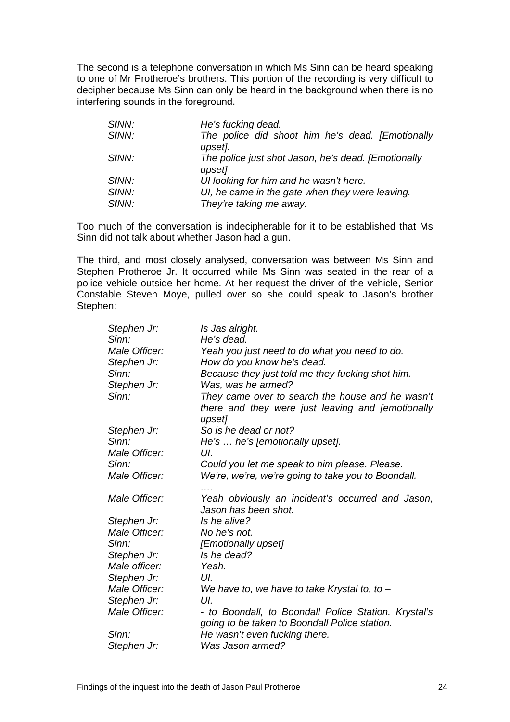The second is a telephone conversation in which Ms Sinn can be heard speaking to one of Mr Protheroe's brothers. This portion of the recording is very difficult to decipher because Ms Sinn can only be heard in the background when there is no interfering sounds in the foreground.

| SINN: | He's fucking dead.                                            |  |
|-------|---------------------------------------------------------------|--|
| SINN: | The police did shoot him he's dead. [Emotionally<br>upset].   |  |
| SINN: | The police just shot Jason, he's dead. [Emotionally<br>upset] |  |
| SINN: | UI looking for him and he wasn't here.                        |  |
| SINN: | UI, he came in the gate when they were leaving.               |  |
| SINN: | They're taking me away.                                       |  |

Too much of the conversation is indecipherable for it to be established that Ms Sinn did not talk about whether Jason had a gun.

The third, and most closely analysed, conversation was between Ms Sinn and Stephen Protheroe Jr. It occurred while Ms Sinn was seated in the rear of a police vehicle outside her home. At her request the driver of the vehicle, Senior Constable Steven Moye, pulled over so she could speak to Jason's brother Stephen:

| Is Jas alright.                                                                                                 |
|-----------------------------------------------------------------------------------------------------------------|
| He's dead.                                                                                                      |
| Yeah you just need to do what you need to do.                                                                   |
| How do you know he's dead.                                                                                      |
| Because they just told me they fucking shot him.                                                                |
| Was, was he armed?                                                                                              |
| They came over to search the house and he wasn't<br>there and they were just leaving and [emotionally<br>upset] |
| So is he dead or not?                                                                                           |
| He's  he's [emotionally upset].                                                                                 |
| UI.                                                                                                             |
| Could you let me speak to him please. Please.                                                                   |
| We're, we're, we're going to take you to Boondall.                                                              |
| Yeah obviously an incident's occurred and Jason,<br>Jason has been shot.                                        |
| Is he alive?                                                                                                    |
| No he's not.                                                                                                    |
| [Emotionally upset]                                                                                             |
| Is he dead?                                                                                                     |
| Yeah.                                                                                                           |
| UI.                                                                                                             |
| We have to, we have to take Krystal to, to $-$                                                                  |
| UI.                                                                                                             |
| - to Boondall, to Boondall Police Station. Krystal's<br>going to be taken to Boondall Police station.           |
| He wasn't even fucking there.                                                                                   |
| Was Jason armed?                                                                                                |
|                                                                                                                 |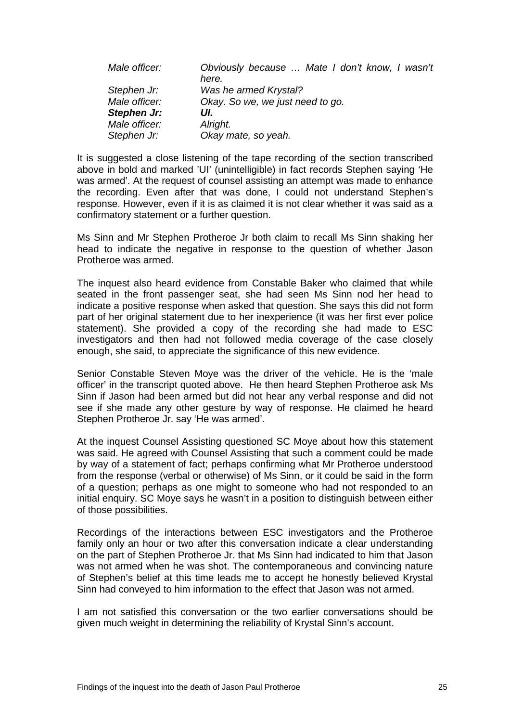| Male officer: | Obviously because  Mate I don't know, I wasn't<br>here. |
|---------------|---------------------------------------------------------|
| Stephen Jr:   | Was he armed Krystal?                                   |
| Male officer: | Okay. So we, we just need to go.                        |
| Stephen Jr:   | UI.                                                     |
| Male officer: | Alright.                                                |
| Stephen Jr:   | Okay mate, so yeah.                                     |

It is suggested a close listening of the tape recording of the section transcribed above in bold and marked 'UI' (unintelligible) in fact records Stephen saying 'He was armed'. At the request of counsel assisting an attempt was made to enhance the recording. Even after that was done, I could not understand Stephen's response. However, even if it is as claimed it is not clear whether it was said as a confirmatory statement or a further question.

Ms Sinn and Mr Stephen Protheroe Jr both claim to recall Ms Sinn shaking her head to indicate the negative in response to the question of whether Jason Protheroe was armed.

The inquest also heard evidence from Constable Baker who claimed that while seated in the front passenger seat, she had seen Ms Sinn nod her head to indicate a positive response when asked that question. She says this did not form part of her original statement due to her inexperience (it was her first ever police statement). She provided a copy of the recording she had made to ESC investigators and then had not followed media coverage of the case closely enough, she said, to appreciate the significance of this new evidence.

Senior Constable Steven Moye was the driver of the vehicle. He is the 'male officer' in the transcript quoted above. He then heard Stephen Protheroe ask Ms Sinn if Jason had been armed but did not hear any verbal response and did not see if she made any other gesture by way of response. He claimed he heard Stephen Protheroe Jr. say 'He was armed'*.*

At the inquest Counsel Assisting questioned SC Moye about how this statement was said. He agreed with Counsel Assisting that such a comment could be made by way of a statement of fact; perhaps confirming what Mr Protheroe understood from the response (verbal or otherwise) of Ms Sinn, or it could be said in the form of a question; perhaps as one might to someone who had not responded to an initial enquiry. SC Moye says he wasn't in a position to distinguish between either of those possibilities.

Recordings of the interactions between ESC investigators and the Protheroe family only an hour or two after this conversation indicate a clear understanding on the part of Stephen Protheroe Jr. that Ms Sinn had indicated to him that Jason was not armed when he was shot. The contemporaneous and convincing nature of Stephen's belief at this time leads me to accept he honestly believed Krystal Sinn had conveyed to him information to the effect that Jason was not armed.

I am not satisfied this conversation or the two earlier conversations should be given much weight in determining the reliability of Krystal Sinn's account.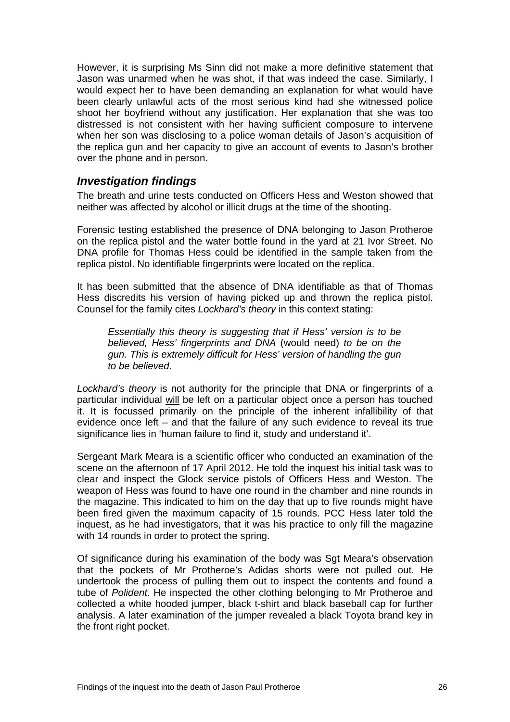<span id="page-27-0"></span>However, it is surprising Ms Sinn did not make a more definitive statement that Jason was unarmed when he was shot, if that was indeed the case. Similarly, I would expect her to have been demanding an explanation for what would have been clearly unlawful acts of the most serious kind had she witnessed police shoot her boyfriend without any justification. Her explanation that she was too distressed is not consistent with her having sufficient composure to intervene when her son was disclosing to a police woman details of Jason's acquisition of the replica gun and her capacity to give an account of events to Jason's brother over the phone and in person.

### *Investigation findings*

The breath and urine tests conducted on Officers Hess and Weston showed that neither was affected by alcohol or illicit drugs at the time of the shooting.

Forensic testing established the presence of DNA belonging to Jason Protheroe on the replica pistol and the water bottle found in the yard at 21 Ivor Street. No DNA profile for Thomas Hess could be identified in the sample taken from the replica pistol. No identifiable fingerprints were located on the replica.

It has been submitted that the absence of DNA identifiable as that of Thomas Hess discredits his version of having picked up and thrown the replica pistol. Counsel for the family cites *Lockhard's theory* in this context stating:

*Essentially this theory is suggesting that if Hess' version is to be believed, Hess' fingerprints and DNA* (would need) *to be on the gun. This is extremely difficult for Hess' version of handling the gun to be believed.* 

*Lockhard's theory* is not authority for the principle that DNA or fingerprints of a particular individual will be left on a particular object once a person has touched it. It is focussed primarily on the principle of the inherent infallibility of that evidence once left – and that the failure of any such evidence to reveal its true significance lies in 'human failure to find it, study and understand it'.

Sergeant Mark Meara is a scientific officer who conducted an examination of the scene on the afternoon of 17 April 2012. He told the inquest his initial task was to clear and inspect the Glock service pistols of Officers Hess and Weston. The weapon of Hess was found to have one round in the chamber and nine rounds in the magazine. This indicated to him on the day that up to five rounds might have been fired given the maximum capacity of 15 rounds. PCC Hess later told the inquest, as he had investigators, that it was his practice to only fill the magazine with 14 rounds in order to protect the spring.

Of significance during his examination of the body was Sgt Meara's observation that the pockets of Mr Protheroe's Adidas shorts were not pulled out. He undertook the process of pulling them out to inspect the contents and found a tube of *Polident*. He inspected the other clothing belonging to Mr Protheroe and collected a white hooded jumper, black t-shirt and black baseball cap for further analysis. A later examination of the jumper revealed a black Toyota brand key in the front right pocket.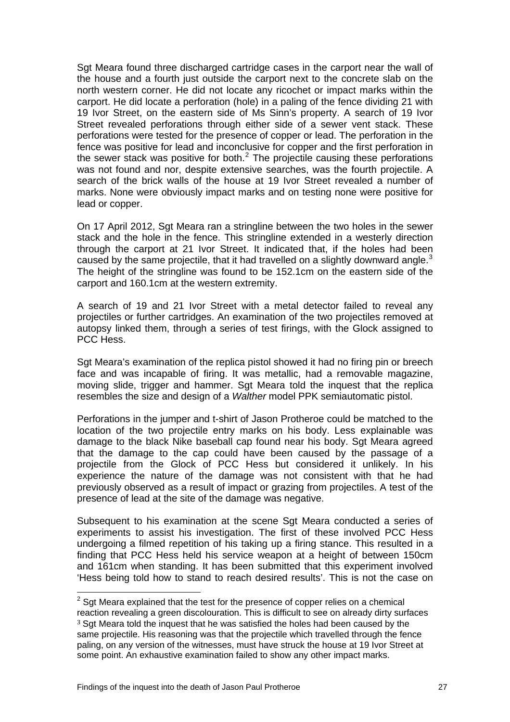Sgt Meara found three discharged cartridge cases in the carport near the wall of the house and a fourth just outside the carport next to the concrete slab on the north western corner. He did not locate any ricochet or impact marks within the carport. He did locate a perforation (hole) in a paling of the fence dividing 21 with 19 Ivor Street, on the eastern side of Ms Sinn's property. A search of 19 Ivor Street revealed perforations through either side of a sewer vent stack. These perforations were tested for the presence of copper or lead. The perforation in the fence was positive for lead and inconclusive for copper and the first perforation in the sewer stack was positive for both. $<sup>2</sup>$  $<sup>2</sup>$  $<sup>2</sup>$  The projectile causing these perforations</sup> was not found and nor, despite extensive searches, was the fourth projectile. A search of the brick walls of the house at 19 Ivor Street revealed a number of marks. None were obviously impact marks and on testing none were positive for lead or copper.

On 17 April 2012, Sgt Meara ran a stringline between the two holes in the sewer stack and the hole in the fence. This stringline extended in a westerly direction through the carport at 21 Ivor Street. It indicated that, if the holes had been caused by the same projectile, that it had travelled on a slightly downward angle.<sup>[3](#page-28-1)</sup> The height of the stringline was found to be 152.1cm on the eastern side of the carport and 160.1cm at the western extremity.

A search of 19 and 21 Ivor Street with a metal detector failed to reveal any projectiles or further cartridges. An examination of the two projectiles removed at autopsy linked them, through a series of test firings, with the Glock assigned to PCC Hess.

Sgt Meara's examination of the replica pistol showed it had no firing pin or breech face and was incapable of firing. It was metallic, had a removable magazine, moving slide, trigger and hammer. Sgt Meara told the inquest that the replica resembles the size and design of a *Walther* model PPK semiautomatic pistol.

Perforations in the jumper and t-shirt of Jason Protheroe could be matched to the location of the two projectile entry marks on his body. Less explainable was damage to the black Nike baseball cap found near his body. Sgt Meara agreed that the damage to the cap could have been caused by the passage of a projectile from the Glock of PCC Hess but considered it unlikely. In his experience the nature of the damage was not consistent with that he had previously observed as a result of impact or grazing from projectiles. A test of the presence of lead at the site of the damage was negative.

Subsequent to his examination at the scene Sgt Meara conducted a series of experiments to assist his investigation. The first of these involved PCC Hess undergoing a filmed repetition of his taking up a firing stance. This resulted in a finding that PCC Hess held his service weapon at a height of between 150cm and 161cm when standing. It has been submitted that this experiment involved 'Hess being told how to stand to reach desired results'. This is not the case on

<span id="page-28-1"></span><span id="page-28-0"></span> $2$  Sgt Meara explained that the test for the presence of copper relies on a chemical re action revealing a green discolouration. This is difficult to see on already dirty surfaces <sup>3</sup> Sgt Meara told the inquest that he was satisfied the holes had been caused by the same projectile. His reasoning was that the projectile which travelled through the fence paling, on any version of the witnesses, must have struck the house at 19 Ivor Street at some point. An exhaustive examination failed to show any other impact marks.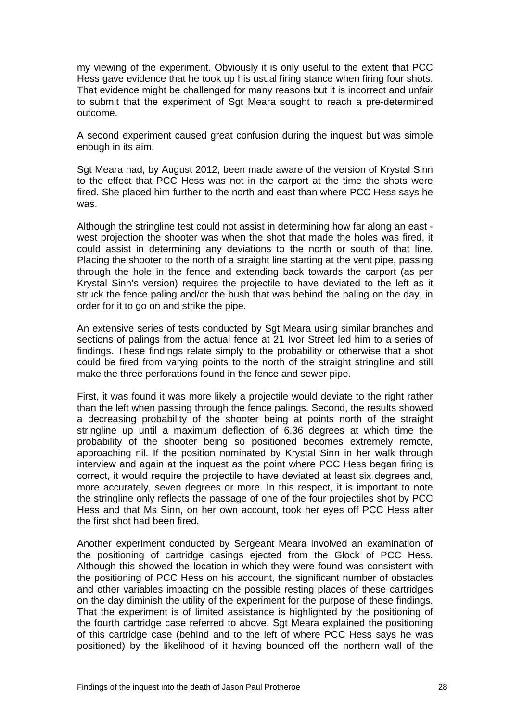my viewing of the experiment. Obviously it is only useful to the extent that PCC Hess gave evidence that he took up his usual firing stance when firing four shots. That evidence might be challenged for many reasons but it is incorrect and unfair to submit that the experiment of Sgt Meara sought to reach a pre-determined outcome.

A second experiment caused great confusion during the inquest but was simple enough in its aim.

Sgt Meara had, by August 2012, been made aware of the version of Krystal Sinn to the effect that PCC Hess was not in the carport at the time the shots were fired. She placed him further to the north and east than where PCC Hess says he was.

Although the stringline test could not assist in determining how far along an east west projection the shooter was when the shot that made the holes was fired, it could assist in determining any deviations to the north or south of that line. Placing the shooter to the north of a straight line starting at the vent pipe, passing through the hole in the fence and extending back towards the carport (as per Krystal Sinn's version) requires the projectile to have deviated to the left as it struck the fence paling and/or the bush that was behind the paling on the day, in order for it to go on and strike the pipe.

An extensive series of tests conducted by Sgt Meara using similar branches and sections of palings from the actual fence at 21 Ivor Street led him to a series of findings. These findings relate simply to the probability or otherwise that a shot could be fired from varying points to the north of the straight stringline and still make the three perforations found in the fence and sewer pipe.

First, it was found it was more likely a projectile would deviate to the right rather than the left when passing through the fence palings. Second, the results showed a decreasing probability of the shooter being at points north of the straight stringline up until a maximum deflection of 6.36 degrees at which time the probability of the shooter being so positioned becomes extremely remote, approaching nil. If the position nominated by Krystal Sinn in her walk through interview and again at the inquest as the point where PCC Hess began firing is correct, it would require the projectile to have deviated at least six degrees and, more accurately, seven degrees or more. In this respect, it is important to note the stringline only reflects the passage of one of the four projectiles shot by PCC Hess and that Ms Sinn, on her own account, took her eyes off PCC Hess after the first shot had been fired.

Another experiment conducted by Sergeant Meara involved an examination of the positioning of cartridge casings ejected from the Glock of PCC Hess. Although this showed the location in which they were found was consistent with the positioning of PCC Hess on his account, the significant number of obstacles and other variables impacting on the possible resting places of these cartridges on the day diminish the utility of the experiment for the purpose of these findings. That the experiment is of limited assistance is highlighted by the positioning of the fourth cartridge case referred to above. Sgt Meara explained the positioning of this cartridge case (behind and to the left of where PCC Hess says he was positioned) by the likelihood of it having bounced off the northern wall of the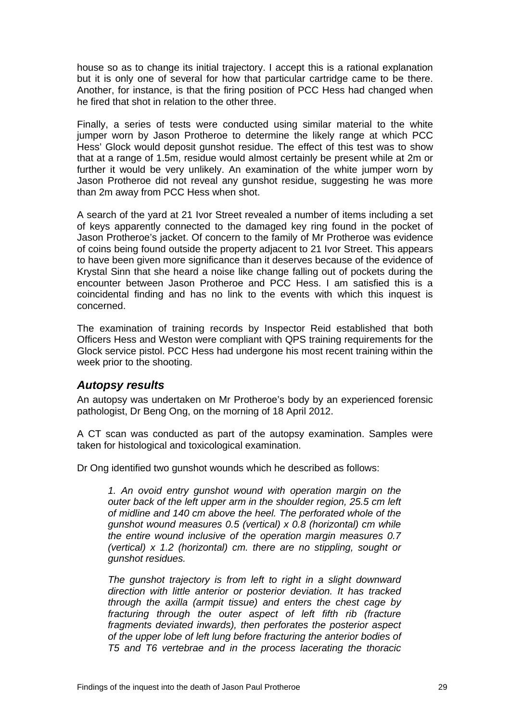<span id="page-30-0"></span>house so as to change its initial trajectory. I accept this is a rational explanation but it is only one of several for how that particular cartridge came to be there. Another, for instance, is that the firing position of PCC Hess had changed when he fired that shot in relation to the other three.

Finally, a series of tests were conducted using similar material to the white jumper worn by Jason Protheroe to determine the likely range at which PCC Hess' Glock would deposit gunshot residue. The effect of this test was to show that at a range of 1.5m, residue would almost certainly be present while at 2m or further it would be very unlikely. An examination of the white jumper worn by Jason Protheroe did not reveal any gunshot residue, suggesting he was more than 2m away from PCC Hess when shot.

A search of the yard at 21 Ivor Street revealed a number of items including a set of keys apparently connected to the damaged key ring found in the pocket of Jason Protheroe's jacket. Of concern to the family of Mr Protheroe was evidence of coins being found outside the property adjacent to 21 Ivor Street. This appears to have been given more significance than it deserves because of the evidence of Krystal Sinn that she heard a noise like change falling out of pockets during the encounter between Jason Protheroe and PCC Hess. I am satisfied this is a coincidental finding and has no link to the events with which this inquest is concerned.

The examination of training records by Inspector Reid established that both Officers Hess and Weston were compliant with QPS training requirements for the Glock service pistol. PCC Hess had undergone his most recent training within the week prior to the shooting.

#### *Autopsy results*

An autopsy was undertaken on Mr Protheroe's body by an experienced forensic pathologist, Dr Beng Ong, on the morning of 18 April 2012.

A CT scan was conducted as part of the autopsy examination. Samples were taken for histological and toxicological examination.

Dr Ong identified two gunshot wounds which he described as follows:

*1. An ovoid entry gunshot wound with operation margin on the outer back of the left upper arm in the shoulder region, 25.5 cm left of midline and 140 cm above the heel. The perforated whole of the gunshot wound measures 0.5 (vertical) x 0.8 (horizontal) cm while the entire wound inclusive of the operation margin measures 0.7 (vertical) x 1.2 (horizontal) cm. there are no stippling, sought or gunshot residues.* 

*The gunshot trajectory is from left to right in a slight downward direction with little anterior or posterior deviation. It has tracked through the axilla (armpit tissue) and enters the chest cage by fracturing through the outer aspect of left fifth rib (fracture fragments deviated inwards), then perforates the posterior aspect of the upper lobe of left lung before fracturing the anterior bodies of T5 and T6 vertebrae and in the process lacerating the thoracic*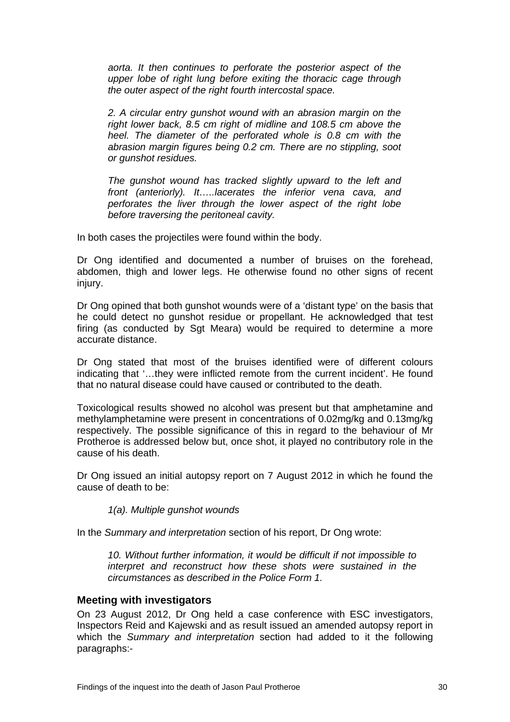<span id="page-31-0"></span>*aorta. It then continues to perforate the posterior aspect of the upper lobe of right lung before exiting the thoracic cage through the outer aspect of the right fourth intercostal space.* 

*2. A circular entry gunshot wound with an abrasion margin on the right lower back, 8.5 cm right of midline and 108.5 cm above the heel. The diameter of the perforated whole is 0.8 cm with the abrasion margin figures being 0.2 cm. There are no stippling, soot or gunshot residues.* 

*The gunshot wound has tracked slightly upward to the left and front (anteriorly). It…..lacerates the inferior vena cava, and perforates the liver through the lower aspect of the right lobe before traversing the peritoneal cavity.*

In both cases the projectiles were found within the body.

Dr Ong identified and documented a number of bruises on the forehead, abdomen, thigh and lower legs. He otherwise found no other signs of recent injury.

Dr Ong opined that both gunshot wounds were of a 'distant type' on the basis that he could detect no gunshot residue or propellant. He acknowledged that test firing (as conducted by Sgt Meara) would be required to determine a more accurate distance.

Dr Ong stated that most of the bruises identified were of different colours indicating that '…they were inflicted remote from the current incident'. He found that no natural disease could have caused or contributed to the death.

Toxicological results showed no alcohol was present but that amphetamine and methylamphetamine were present in concentrations of 0.02mg/kg and 0.13mg/kg respectively. The possible significance of this in regard to the behaviour of Mr Protheroe is addressed below but, once shot, it played no contributory role in the cause of his death.

Dr Ong issued an initial autopsy report on 7 August 2012 in which he found the cause of death to be:

*1(a). Multiple gunshot wounds* 

In the *Summary and interpretation* section of his report, Dr Ong wrote:

*10. Without further information, it would be difficult if not impossible to interpret and reconstruct how these shots were sustained in the circumstances as described in the Police Form 1.* 

#### **Meeting with investigators**

On 23 August 2012, Dr Ong held a case conference with ESC investigators, Inspectors Reid and Kajewski and as result issued an amended autopsy report in which the *Summary and interpretation* section had added to it the following paragraphs:-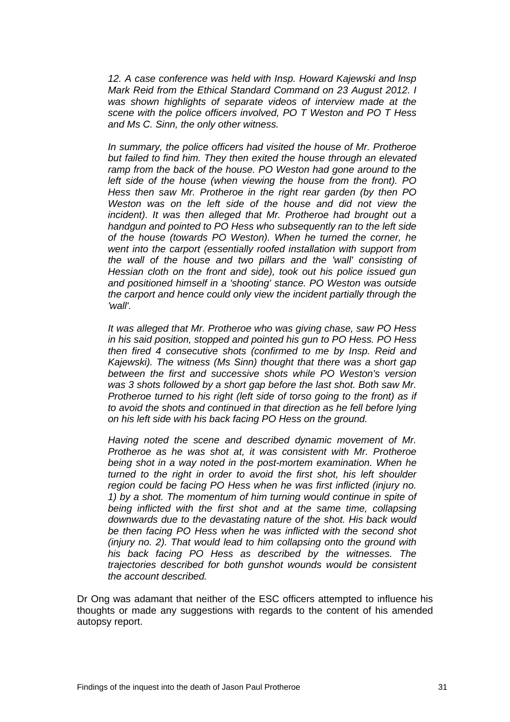*12. A case conference was held with Insp. Howard Kajewski and lnsp Mark Reid from the Ethical Standard Command on 23 August 2012. I was shown highlights of separate videos of interview made at the scene with the police officers involved, PO T Weston and PO T Hess and Ms C. Sinn, the only other witness.* 

*In summary, the police officers had visited the house of Mr. Protheroe but failed to find him. They then exited the house through an elevated ramp from the back of the house. PO Weston had gone around to the left side of the house (when viewing the house from the front). PO Hess then saw Mr. Protheroe in the right rear garden (by then PO Weston was on the left side of the house and did not view the incident). It was then alleged that Mr. Protheroe had brought out a handgun and pointed to PO Hess who subsequently ran to the left side of the house (towards PO Weston). When he turned the corner, he went into the carport (essentially roofed installation with support from the wall of the house and two pillars and the 'wall' consisting of Hessian cloth on the front and side), took out his police issued gun and positioned himself in a 'shooting' stance. PO Weston was outside the carport and hence could only view the incident partially through the 'wall'.* 

*It was alleged that Mr. Protheroe who was giving chase, saw PO Hess in his said position, stopped and pointed his gun to PO Hess. PO Hess then fired 4 consecutive shots (confirmed to me by Insp. Reid and Kajewski). The witness (Ms Sinn) thought that there was a short gap between the first and successive shots while PO Weston's version was 3 shots followed by a short gap before the last shot. Both saw Mr. Protheroe turned to his right (left side of torso going to the front) as if to avoid the shots and continued in that direction as he fell before lying on his left side with his back facing PO Hess on the ground.* 

*Having noted the scene and described dynamic movement of Mr. Protheroe as he was shot at, it was consistent with Mr. Protheroe being shot in a way noted in the post-mortem examination. When he turned to the right in order to avoid the first shot, his left shoulder region could be facing PO Hess when he was first inflicted (injury no. 1) by a shot. The momentum of him turning would continue in spite of being inflicted with the first shot and at the same time, collapsing downwards due to the devastating nature of the shot. His back would be then facing PO Hess when he was inflicted with the second shot (injury no. 2). That would lead to him collapsing onto the ground with his back facing PO Hess as described by the witnesses. The trajectories described for both gunshot wounds would be consistent the account described.* 

Dr Ong was adamant that neither of the ESC officers attempted to influence his thoughts or made any suggestions with regards to the content of his amended autopsy report.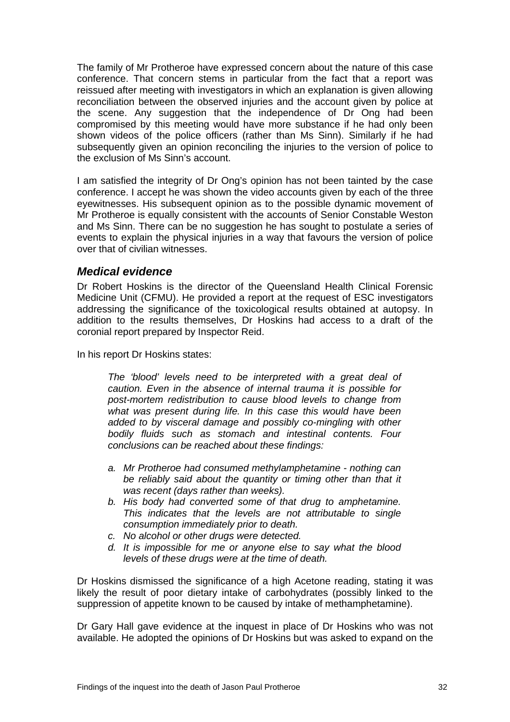<span id="page-33-0"></span>The family of Mr Protheroe have expressed concern about the nature of this case conference. That concern stems in particular from the fact that a report was reissued after meeting with investigators in which an explanation is given allowing reconciliation between the observed injuries and the account given by police at the scene. Any suggestion that the independence of Dr Ong had been compromised by this meeting would have more substance if he had only been shown videos of the police officers (rather than Ms Sinn). Similarly if he had subsequently given an opinion reconciling the injuries to the version of police to the exclusion of Ms Sinn's account.

I am satisfied the integrity of Dr Ong's opinion has not been tainted by the case conference. I accept he was shown the video accounts given by each of the three eyewitnesses. His subsequent opinion as to the possible dynamic movement of Mr Protheroe is equally consistent with the accounts of Senior Constable Weston and Ms Sinn. There can be no suggestion he has sought to postulate a series of events to explain the physical injuries in a way that favours the version of police over that of civilian witnesses.

#### *Medical evidence*

Dr Robert Hoskins is the director of the Queensland Health Clinical Forensic Medicine Unit (CFMU). He provided a report at the request of ESC investigators addressing the significance of the toxicological results obtained at autopsy. In addition to the results themselves, Dr Hoskins had access to a draft of the coronial report prepared by Inspector Reid.

In his report Dr Hoskins states:

*The 'blood' levels need to be interpreted with a great deal of caution. Even in the absence of internal trauma it is possible for post-mortem redistribution to cause blood levels to change from what was present during life. In this case this would have been added to by visceral damage and possibly co-mingling with other bodily fluids such as stomach and intestinal contents. Four conclusions can be reached about these findings:* 

- *a. Mr Protheroe had consumed methylamphetamine nothing can be reliably said about the quantity or timing other than that it was recent (days rather than weeks).*
- *b. His body had converted some of that drug to amphetamine. This indicates that the levels are not attributable to single consumption immediately prior to death.*
- *c. No alcohol or other drugs were detected.*
- *d. It is impossible for me or anyone else to say what the blood levels of these drugs were at the time of death.*

Dr Hoskins dismissed the significance of a high Acetone reading, stating it was likely the result of poor dietary intake of carbohydrates (possibly linked to the suppression of appetite known to be caused by intake of methamphetamine).

Dr Gary Hall gave evidence at the inquest in place of Dr Hoskins who was not available. He adopted the opinions of Dr Hoskins but was asked to expand on the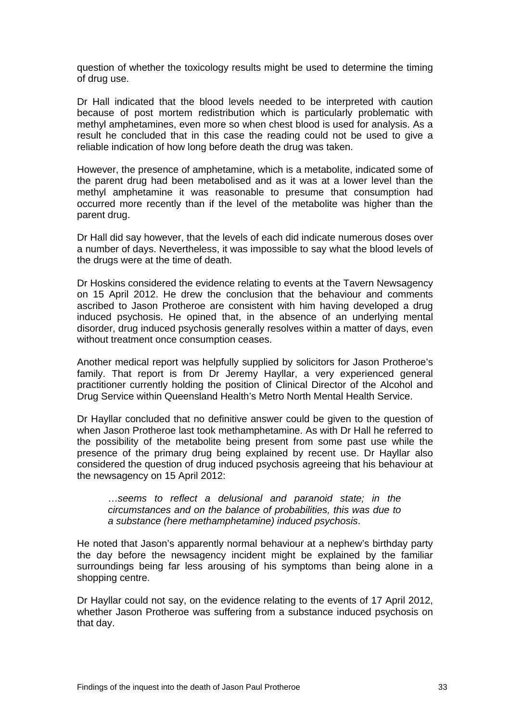question of whether the toxicology results might be used to determine the timing of drug use.

Dr Hall indicated that the blood levels needed to be interpreted with caution because of post mortem redistribution which is particularly problematic with methyl amphetamines, even more so when chest blood is used for analysis. As a result he concluded that in this case the reading could not be used to give a reliable indication of how long before death the drug was taken.

However, the presence of amphetamine, which is a metabolite, indicated some of the parent drug had been metabolised and as it was at a lower level than the methyl amphetamine it was reasonable to presume that consumption had occurred more recently than if the level of the metabolite was higher than the parent drug.

Dr Hall did say however, that the levels of each did indicate numerous doses over a number of days. Nevertheless, it was impossible to say what the blood levels of the drugs were at the time of death.

Dr Hoskins considered the evidence relating to events at the Tavern Newsagency on 15 April 2012. He drew the conclusion that the behaviour and comments ascribed to Jason Protheroe are consistent with him having developed a drug induced psychosis. He opined that, in the absence of an underlying mental disorder, drug induced psychosis generally resolves within a matter of days, even without treatment once consumption ceases.

Another medical report was helpfully supplied by solicitors for Jason Protheroe's family. That report is from Dr Jeremy Hayllar, a very experienced general practitioner currently holding the position of Clinical Director of the Alcohol and Drug Service within Queensland Health's Metro North Mental Health Service.

Dr Hayllar concluded that no definitive answer could be given to the question of when Jason Protheroe last took methamphetamine. As with Dr Hall he referred to the possibility of the metabolite being present from some past use while the presence of the primary drug being explained by recent use. Dr Hayllar also considered the question of drug induced psychosis agreeing that his behaviour at the newsagency on 15 April 2012:

…*seems to reflect a delusional and paranoid state; in the circumstances and on the balance of probabilities, this was due to a substance (here methamphetamine) induced psychosis*.

He noted that Jason's apparently normal behaviour at a nephew's birthday party the day before the newsagency incident might be explained by the familiar surroundings being far less arousing of his symptoms than being alone in a shopping centre.

Dr Hayllar could not say, on the evidence relating to the events of 17 April 2012, whether Jason Protheroe was suffering from a substance induced psychosis on that day.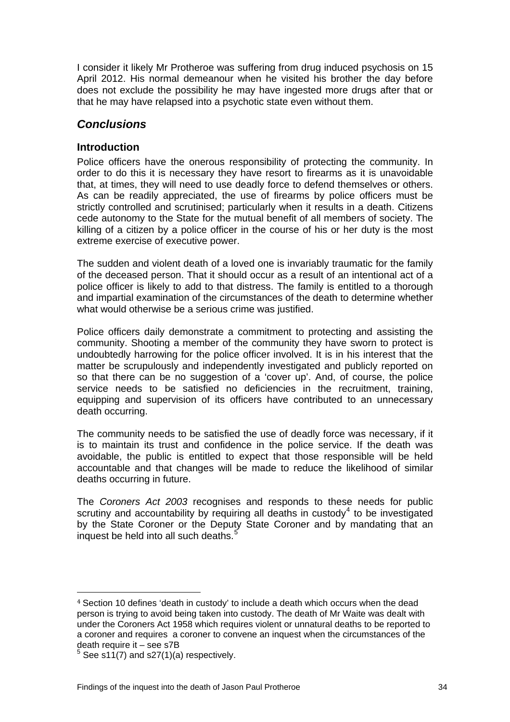<span id="page-35-0"></span>I consider it likely Mr Protheroe was suffering from drug induced psychosis on 15 April 2012. His normal demeanour when he visited his brother the day before does not exclude the possibility he may have ingested more drugs after that or that he may have relapsed into a psychotic state even without them.

## *Conclusions*

### **Introduction**

Police officers have the onerous responsibility of protecting the community. In order to do this it is necessary they have resort to firearms as it is unavoidable that, at times, they will need to use deadly force to defend themselves or others. As can be readily appreciated, the use of firearms by police officers must be strictly controlled and scrutinised; particularly when it results in a death. Citizens cede autonomy to the State for the mutual benefit of all members of society. The killing of a citizen by a police officer in the course of his or her duty is the most extreme exercise of executive power.

The sudden and violent death of a loved one is invariably traumatic for the family of the deceased person. That it should occur as a result of an intentional act of a police officer is likely to add to that distress. The family is entitled to a thorough and impartial examination of the circumstances of the death to determine whether what would otherwise be a serious crime was justified.

Police officers daily demonstrate a commitment to protecting and assisting the community. Shooting a member of the community they have sworn to protect is undoubtedly harrowing for the police officer involved. It is in his interest that the matter be scrupulously and independently investigated and publicly reported on so that there can be no suggestion of a 'cover up'. And, of course, the police service needs to be satisfied no deficiencies in the recruitment, training, equipping and supervision of its officers have contributed to an unnecessary death occurring.

The community needs to be satisfied the use of deadly force was necessary, if it is to maintain its trust and confidence in the police service. If the death was avoidable, the public is entitled to expect that those responsible will be held accountable and that changes will be made to reduce the likelihood of similar deaths occurring in future.

The *Coroners Act 2003* recognises and responds to these needs for public scrutiny and accountability by requiring all deaths in custody<sup>[4](#page-35-1)</sup> to be investigated by the State Coroner or the Deputy State Coroner and by mandating that an inquest be held into all such deaths.<sup>[5](#page-35-2)</sup>

<span id="page-35-1"></span><sup>4</sup> Section 10 defines 'death in custody' to include a death which occurs when the dead person is trying to avoid being taken into custody. The death of Mr Waite was dealt with under the Coroners Act 1958 which requires violent or unnatural deaths to be reported to a coroner and requires a coroner to convene an inquest when the circumstances of the death require it – see s7B

<span id="page-35-2"></span> $5$  See s11(7) and s27(1)(a) respectively.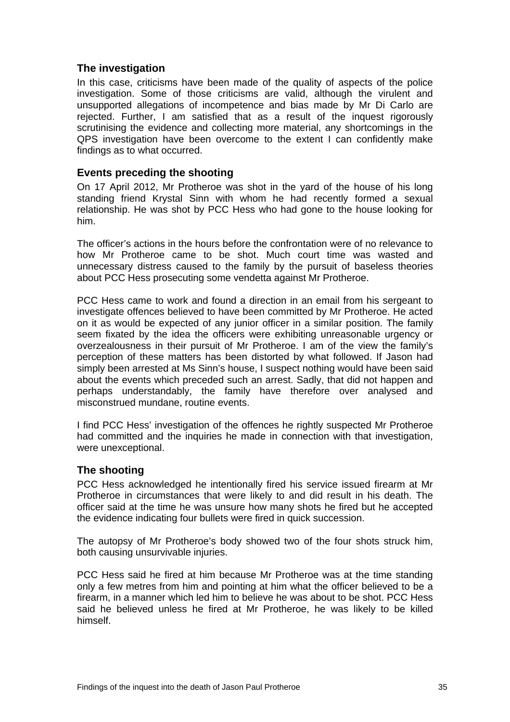#### <span id="page-36-0"></span>**The investigation**

In this case, criticisms have been made of the quality of aspects of the police investigation. Some of those criticisms are valid, although the virulent and unsupported allegations of incompetence and bias made by Mr Di Carlo are rejected. Further, I am satisfied that as a result of the inquest rigorously scrutinising the evidence and collecting more material, any shortcomings in the QPS investigation have been overcome to the extent I can confidently make findings as to what occurred.

#### **Events preceding the shooting**

On 17 April 2012, Mr Protheroe was shot in the yard of the house of his long standing friend Krystal Sinn with whom he had recently formed a sexual relationship. He was shot by PCC Hess who had gone to the house looking for him.

The officer's actions in the hours before the confrontation were of no relevance to how Mr Protheroe came to be shot. Much court time was wasted and unnecessary distress caused to the family by the pursuit of baseless theories about PCC Hess prosecuting some vendetta against Mr Protheroe.

PCC Hess came to work and found a direction in an email from his sergeant to investigate offences believed to have been committed by Mr Protheroe. He acted on it as would be expected of any junior officer in a similar position. The family seem fixated by the idea the officers were exhibiting unreasonable urgency or overzealousness in their pursuit of Mr Protheroe. I am of the view the family's perception of these matters has been distorted by what followed. If Jason had simply been arrested at Ms Sinn's house, I suspect nothing would have been said about the events which preceded such an arrest. Sadly, that did not happen and perhaps understandably, the family have therefore over analysed and misconstrued mundane, routine events.

I find PCC Hess' investigation of the offences he rightly suspected Mr Protheroe had committed and the inquiries he made in connection with that investigation, were unexceptional.

#### **The shooting**

PCC Hess acknowledged he intentionally fired his service issued firearm at Mr Protheroe in circumstances that were likely to and did result in his death. The officer said at the time he was unsure how many shots he fired but he accepted the evidence indicating four bullets were fired in quick succession.

The autopsy of Mr Protheroe's body showed two of the four shots struck him, both causing unsurvivable injuries.

PCC Hess said he fired at him because Mr Protheroe was at the time standing only a few metres from him and pointing at him what the officer believed to be a firearm, in a manner which led him to believe he was about to be shot. PCC Hess said he believed unless he fired at Mr Protheroe, he was likely to be killed himself.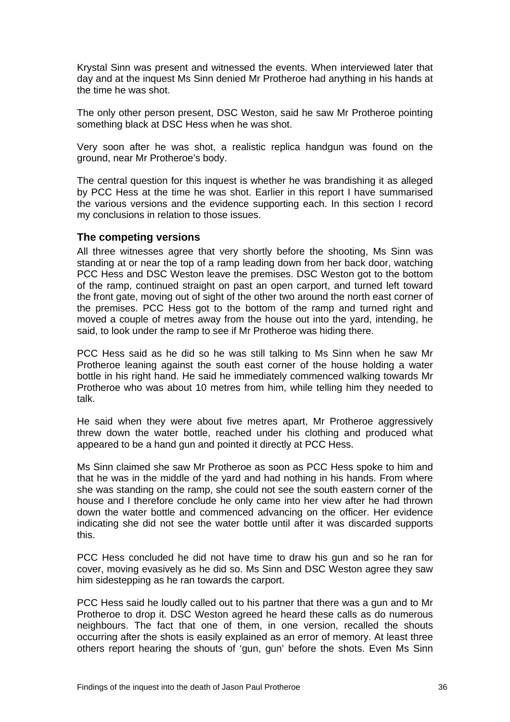<span id="page-37-0"></span>Krystal Sinn was present and witnessed the events. When interviewed later that day and at the inquest Ms Sinn denied Mr Protheroe had anything in his hands at the time he was shot.

The only other person present, DSC Weston, said he saw Mr Protheroe pointing something black at DSC Hess when he was shot.

Very soon after he was shot, a realistic replica handgun was found on the ground, near Mr Protheroe's body.

The central question for this inquest is whether he was brandishing it as alleged by PCC Hess at the time he was shot. Earlier in this report I have summarised the various versions and the evidence supporting each. In this section I record my conclusions in relation to those issues.

#### **The competing versions**

All three witnesses agree that very shortly before the shooting, Ms Sinn was standing at or near the top of a ramp leading down from her back door, watching PCC Hess and DSC Weston leave the premises. DSC Weston got to the bottom of the ramp, continued straight on past an open carport, and turned left toward the front gate, moving out of sight of the other two around the north east corner of the premises. PCC Hess got to the bottom of the ramp and turned right and moved a couple of metres away from the house out into the yard, intending, he said, to look under the ramp to see if Mr Protheroe was hiding there.

PCC Hess said as he did so he was still talking to Ms Sinn when he saw Mr Protheroe leaning against the south east corner of the house holding a water bottle in his right hand. He said he immediately commenced walking towards Mr Protheroe who was about 10 metres from him, while telling him they needed to talk.

He said when they were about five metres apart, Mr Protheroe aggressively threw down the water bottle, reached under his clothing and produced what appeared to be a hand gun and pointed it directly at PCC Hess.

Ms Sinn claimed she saw Mr Protheroe as soon as PCC Hess spoke to him and that he was in the middle of the yard and had nothing in his hands. From where she was standing on the ramp, she could not see the south eastern corner of the house and I therefore conclude he only came into her view after he had thrown down the water bottle and commenced advancing on the officer. Her evidence indicating she did not see the water bottle until after it was discarded supports this.

PCC Hess concluded he did not have time to draw his gun and so he ran for cover, moving evasively as he did so. Ms Sinn and DSC Weston agree they saw him sidestepping as he ran towards the carport.

PCC Hess said he loudly called out to his partner that there was a gun and to Mr Protheroe to drop it. DSC Weston agreed he heard these calls as do numerous neighbours. The fact that one of them, in one version, recalled the shouts occurring after the shots is easily explained as an error of memory. At least three others report hearing the shouts of 'gun, gun' before the shots. Even Ms Sinn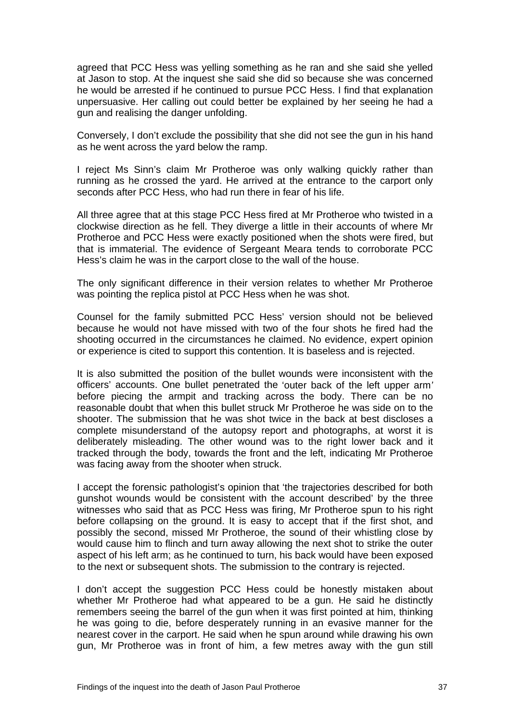agreed that PCC Hess was yelling something as he ran and she said she yelled at Jason to stop. At the inquest she said she did so because she was concerned he would be arrested if he continued to pursue PCC Hess. I find that explanation unpersuasive. Her calling out could better be explained by her seeing he had a gun and realising the danger unfolding.

Conversely, I don't exclude the possibility that she did not see the gun in his hand as he went across the yard below the ramp.

I reject Ms Sinn's claim Mr Protheroe was only walking quickly rather than running as he crossed the yard. He arrived at the entrance to the carport only seconds after PCC Hess, who had run there in fear of his life.

All three agree that at this stage PCC Hess fired at Mr Protheroe who twisted in a clockwise direction as he fell. They diverge a little in their accounts of where Mr Protheroe and PCC Hess were exactly positioned when the shots were fired, but that is immaterial. The evidence of Sergeant Meara tends to corroborate PCC Hess's claim he was in the carport close to the wall of the house.

The only significant difference in their version relates to whether Mr Protheroe was pointing the replica pistol at PCC Hess when he was shot.

Counsel for the family submitted PCC Hess' version should not be believed because he would not have missed with two of the four shots he fired had the shooting occurred in the circumstances he claimed. No evidence, expert opinion or experience is cited to support this contention. It is baseless and is rejected.

It is also submitted the position of the bullet wounds were inconsistent with the officers' accounts. One bullet penetrated the 'outer back of the left upper arm*'* before piecing the armpit and tracking across the body. There can be no reasonable doubt that when this bullet struck Mr Protheroe he was side on to the shooter. The submission that he was shot twice in the back at best discloses a complete misunderstand of the autopsy report and photographs, at worst it is deliberately misleading. The other wound was to the right lower back and it tracked through the body, towards the front and the left, indicating Mr Protheroe was facing away from the shooter when struck.

I accept the forensic pathologist's opinion that 'the trajectories described for both gunshot wounds would be consistent with the account described' by the three witnesses who said that as PCC Hess was firing, Mr Protheroe spun to his right before collapsing on the ground. It is easy to accept that if the first shot, and possibly the second, missed Mr Protheroe, the sound of their whistling close by would cause him to flinch and turn away allowing the next shot to strike the outer aspect of his left arm; as he continued to turn, his back would have been exposed to the next or subsequent shots. The submission to the contrary is rejected.

I don't accept the suggestion PCC Hess could be honestly mistaken about whether Mr Protheroe had what appeared to be a gun. He said he distinctly remembers seeing the barrel of the gun when it was first pointed at him, thinking he was going to die, before desperately running in an evasive manner for the nearest cover in the carport. He said when he spun around while drawing his own gun, Mr Protheroe was in front of him, a few metres away with the gun still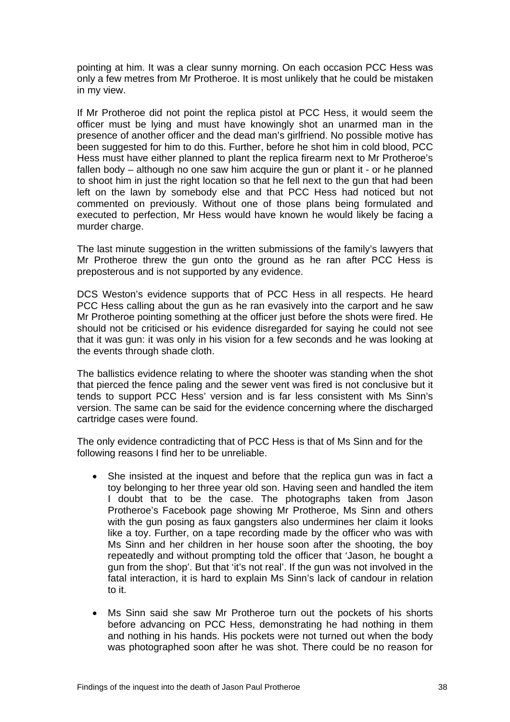pointing at him. It was a clear sunny morning. On each occasion PCC Hess was only a few metres from Mr Protheroe. It is most unlikely that he could be mistaken in my view.

If Mr Protheroe did not point the replica pistol at PCC Hess, it would seem the officer must be lying and must have knowingly shot an unarmed man in the presence of another officer and the dead man's girlfriend. No possible motive has been suggested for him to do this. Further, before he shot him in cold blood, PCC Hess must have either planned to plant the replica firearm next to Mr Protheroe's fallen body – although no one saw him acquire the gun or plant it - or he planned to shoot him in just the right location so that he fell next to the gun that had been left on the lawn by somebody else and that PCC Hess had noticed but not commented on previously. Without one of those plans being formulated and executed to perfection, Mr Hess would have known he would likely be facing a murder charge.

The last minute suggestion in the written submissions of the family's lawyers that Mr Protheroe threw the gun onto the ground as he ran after PCC Hess is preposterous and is not supported by any evidence.

DCS Weston's evidence supports that of PCC Hess in all respects. He heard PCC Hess calling about the gun as he ran evasively into the carport and he saw Mr Protheroe pointing something at the officer just before the shots were fired. He should not be criticised or his evidence disregarded for saying he could not see that it was gun: it was only in his vision for a few seconds and he was looking at the events through shade cloth.

The ballistics evidence relating to where the shooter was standing when the shot that pierced the fence paling and the sewer vent was fired is not conclusive but it tends to support PCC Hess' version and is far less consistent with Ms Sinn's version. The same can be said for the evidence concerning where the discharged cartridge cases were found.

The only evidence contradicting that of PCC Hess is that of Ms Sinn and for the following reasons I find her to be unreliable.

- She insisted at the inquest and before that the replica gun was in fact a toy belonging to her three year old son. Having seen and handled the item I doubt that to be the case. The photographs taken from Jason Protheroe's Facebook page showing Mr Protheroe, Ms Sinn and others with the gun posing as faux gangsters also undermines her claim it looks like a toy. Further, on a tape recording made by the officer who was with Ms Sinn and her children in her house soon after the shooting, the boy repeatedly and without prompting told the officer that 'Jason, he bought a gun from the shop'. But that 'it's not real'. If the gun was not involved in the fatal interaction, it is hard to explain Ms Sinn's lack of candour in relation to it.
- Ms Sinn said she saw Mr Protheroe turn out the pockets of his shorts before advancing on PCC Hess, demonstrating he had nothing in them and nothing in his hands. His pockets were not turned out when the body was photographed soon after he was shot. There could be no reason for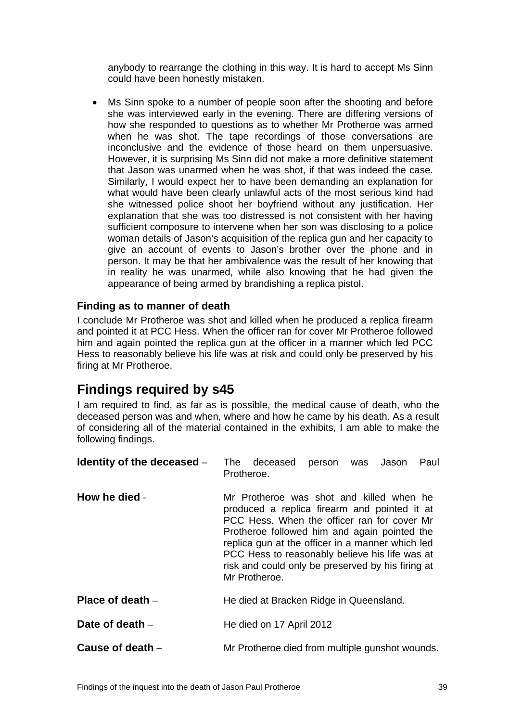<span id="page-40-0"></span>anybody to rearrange the clothing in this way. It is hard to accept Ms Sinn could have been honestly mistaken.

• Ms Sinn spoke to a number of people soon after the shooting and before she was interviewed early in the evening. There are differing versions of how she responded to questions as to whether Mr Protheroe was armed when he was shot. The tape recordings of those conversations are inconclusive and the evidence of those heard on them unpersuasive. However, it is surprising Ms Sinn did not make a more definitive statement that Jason was unarmed when he was shot, if that was indeed the case. Similarly, I would expect her to have been demanding an explanation for what would have been clearly unlawful acts of the most serious kind had she witnessed police shoot her boyfriend without any justification. Her explanation that she was too distressed is not consistent with her having sufficient composure to intervene when her son was disclosing to a police woman details of Jason's acquisition of the replica gun and her capacity to give an account of events to Jason's brother over the phone and in person. It may be that her ambivalence was the result of her knowing that in reality he was unarmed, while also knowing that he had given the appearance of being armed by brandishing a replica pistol.

#### **Finding as to manner of death**

I conclude Mr Protheroe was shot and killed when he produced a replica firearm and pointed it at PCC Hess. When the officer ran for cover Mr Protheroe followed him and again pointed the replica gun at the officer in a manner which led PCC Hess to reasonably believe his life was at risk and could only be preserved by his firing at Mr Protheroe.

# **Findings required by s45**

I am required to find, as far as is possible, the medical cause of death, who the deceased person was and when, where and how he came by his death. As a result of considering all of the material contained in the exhibits, I am able to make the following findings.

| Identity of the deceased $-$ | The deceased<br>person was Jason<br>Paul<br>Protheroe.                                                                                                                                                                                                                                                                                                              |
|------------------------------|---------------------------------------------------------------------------------------------------------------------------------------------------------------------------------------------------------------------------------------------------------------------------------------------------------------------------------------------------------------------|
| How he died -                | Mr Protheroe was shot and killed when he<br>produced a replica firearm and pointed it at<br>PCC Hess. When the officer ran for cover Mr<br>Protheroe followed him and again pointed the<br>replica gun at the officer in a manner which led<br>PCC Hess to reasonably believe his life was at<br>risk and could only be preserved by his firing at<br>Mr Protheroe. |
| Place of death $-$           | He died at Bracken Ridge in Queensland.                                                                                                                                                                                                                                                                                                                             |
| Date of death -              | He died on 17 April 2012                                                                                                                                                                                                                                                                                                                                            |
| Cause of death $-$           | Mr Protheroe died from multiple gunshot wounds.                                                                                                                                                                                                                                                                                                                     |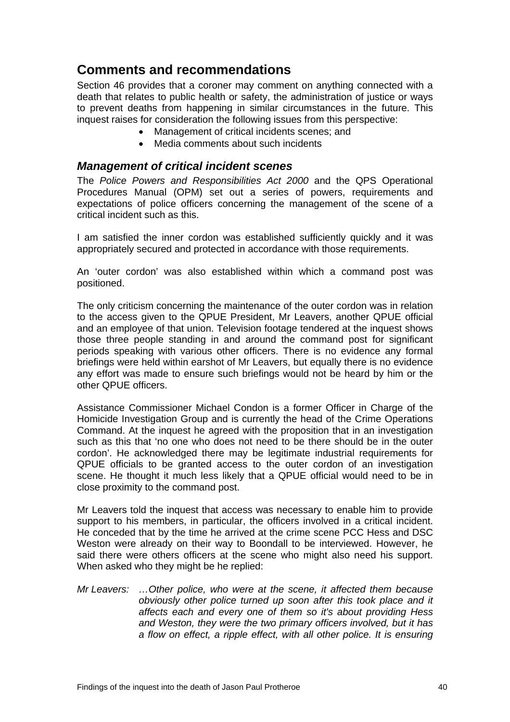# <span id="page-41-0"></span>**Comments and recommendations**

Section 46 provides that a coroner may comment on anything connected with a death that relates to public health or safety, the administration of justice or ways to prevent deaths from happening in similar circumstances in the future. This inquest raises for consideration the following issues from this perspective:

- Management of critical incidents scenes; and
- Media comments about such incidents

#### *Management of critical incident scenes*

The *Police Powers and Responsibilities Act 2000* and the QPS Operational Procedures Manual (OPM) set out a series of powers, requirements and expectations of police officers concerning the management of the scene of a critical incident such as this.

I am satisfied the inner cordon was established sufficiently quickly and it was appropriately secured and protected in accordance with those requirements.

An 'outer cordon' was also established within which a command post was positioned.

The only criticism concerning the maintenance of the outer cordon was in relation to the access given to the QPUE President, Mr Leavers, another QPUE official and an employee of that union. Television footage tendered at the inquest shows those three people standing in and around the command post for significant periods speaking with various other officers. There is no evidence any formal briefings were held within earshot of Mr Leavers, but equally there is no evidence any effort was made to ensure such briefings would not be heard by him or the other QPUE officers.

Assistance Commissioner Michael Condon is a former Officer in Charge of the Homicide Investigation Group and is currently the head of the Crime Operations Command. At the inquest he agreed with the proposition that in an investigation such as this that 'no one who does not need to be there should be in the outer cordon'. He acknowledged there may be legitimate industrial requirements for QPUE officials to be granted access to the outer cordon of an investigation scene. He thought it much less likely that a QPUE official would need to be in close proximity to the command post.

Mr Leavers told the inquest that access was necessary to enable him to provide support to his members, in particular, the officers involved in a critical incident. He conceded that by the time he arrived at the crime scene PCC Hess and DSC Weston were already on their way to Boondall to be interviewed. However, he said there were others officers at the scene who might also need his support. When asked who they might be he replied:

*Mr Leavers: …Other police, who were at the scene, it affected them because obviously other police turned up soon after this took place and it affects each and every one of them so it's about providing Hess and Weston, they were the two primary officers involved, but it has a flow on effect, a ripple effect, with all other police. It is ensuring*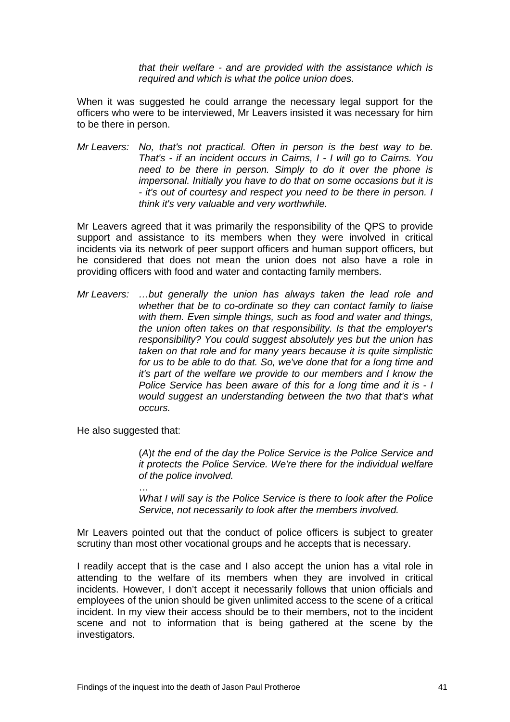*that their welfare - and are provided with the assistance which is required and which is what the police union does.* 

When it was suggested he could arrange the necessary legal support for the officers who were to be interviewed, Mr Leavers insisted it was necessary for him to be there in person.

*Mr Leavers: No, that's not practical. Often in person is the best way to be. That's - if an incident occurs in Cairns, I - I will go to Cairns. You need to be there in person. Simply to do it over the phone is impersonal. Initially you have to do that on some occasions but it is - it's out of courtesy and respect you need to be there in person. I think it's very valuable and very worthwhile.* 

Mr Leavers agreed that it was primarily the responsibility of the QPS to provide support and assistance to its members when they were involved in critical incidents via its network of peer support officers and human support officers, but he considered that does not mean the union does not also have a role in providing officers with food and water and contacting family members.

*Mr Leavers: …but generally the union has always taken the lead role and whether that be to co-ordinate so they can contact family to liaise with them. Even simple things, such as food and water and things, the union often takes on that responsibility. Is that the employer's responsibility? You could suggest absolutely yes but the union has taken on that role and for many years because it is quite simplistic for us to be able to do that. So, we've done that for a long time and it's part of the welfare we provide to our members and I know the Police Service has been aware of this for a long time and it is - I would suggest an understanding between the two that that's what occurs.* 

He also suggested that:

…

(*A*)*t the end of the day the Police Service is the Police Service and it protects the Police Service. We're there for the individual welfare of the police involved.* 

*What I will say is the Police Service is there to look after the Police Service, not necessarily to look after the members involved.* 

Mr Leavers pointed out that the conduct of police officers is subject to greater scrutiny than most other vocational groups and he accepts that is necessary.

I readily accept that is the case and I also accept the union has a vital role in attending to the welfare of its members when they are involved in critical incidents. However, I don't accept it necessarily follows that union officials and employees of the union should be given unlimited access to the scene of a critical incident. In my view their access should be to their members, not to the incident scene and not to information that is being gathered at the scene by the investigators.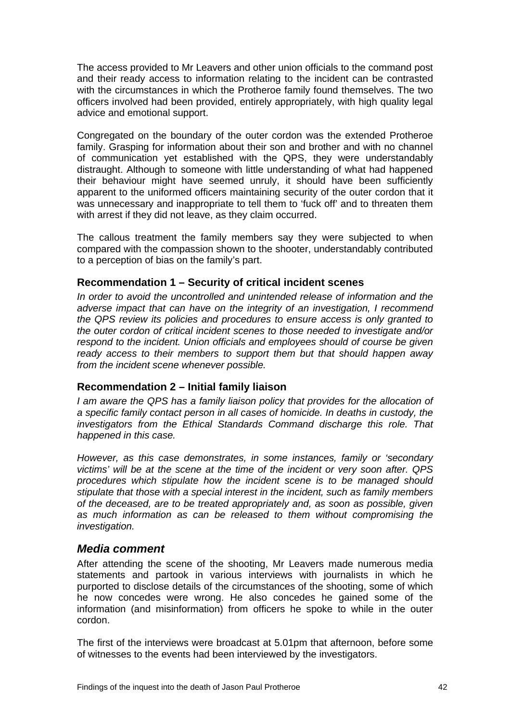<span id="page-43-0"></span>The access provided to Mr Leavers and other union officials to the command post and their ready access to information relating to the incident can be contrasted with the circumstances in which the Protheroe family found themselves. The two officers involved had been provided, entirely appropriately, with high quality legal advice and emotional support.

Congregated on the boundary of the outer cordon was the extended Protheroe family. Grasping for information about their son and brother and with no channel of communication yet established with the QPS, they were understandably distraught. Although to someone with little understanding of what had happened their behaviour might have seemed unruly, it should have been sufficiently apparent to the uniformed officers maintaining security of the outer cordon that it was unnecessary and inappropriate to tell them to 'fuck off' and to threaten them with arrest if they did not leave, as they claim occurred.

The callous treatment the family members say they were subjected to when compared with the compassion shown to the shooter, understandably contributed to a perception of bias on the family's part.

#### **Recommendation 1 – Security of critical incident scenes**

*In order to avoid the uncontrolled and unintended release of information and the adverse impact that can have on the integrity of an investigation, I recommend the QPS review its policies and procedures to ensure access is only granted to the outer cordon of critical incident scenes to those needed to investigate and/or respond to the incident. Union officials and employees should of course be given ready access to their members to support them but that should happen away from the incident scene whenever possible.* 

#### **Recommendation 2 – Initial family liaison**

*I am aware the QPS has a family liaison policy that provides for the allocation of a specific family contact person in all cases of homicide. In deaths in custody, the investigators from the Ethical Standards Command discharge this role. That happened in this case.* 

*However, as this case demonstrates, in some instances, family or 'secondary victims' will be at the scene at the time of the incident or very soon after. QPS procedures which stipulate how the incident scene is to be managed should stipulate that those with a special interest in the incident, such as family members of the deceased, are to be treated appropriately and, as soon as possible, given as much information as can be released to them without compromising the investigation.* 

#### *Media comment*

After attending the scene of the shooting, Mr Leavers made numerous media statements and partook in various interviews with journalists in which he purported to disclose details of the circumstances of the shooting, some of which he now concedes were wrong. He also concedes he gained some of the information (and misinformation) from officers he spoke to while in the outer cordon.

The first of the interviews were broadcast at 5.01pm that afternoon, before some of witnesses to the events had been interviewed by the investigators.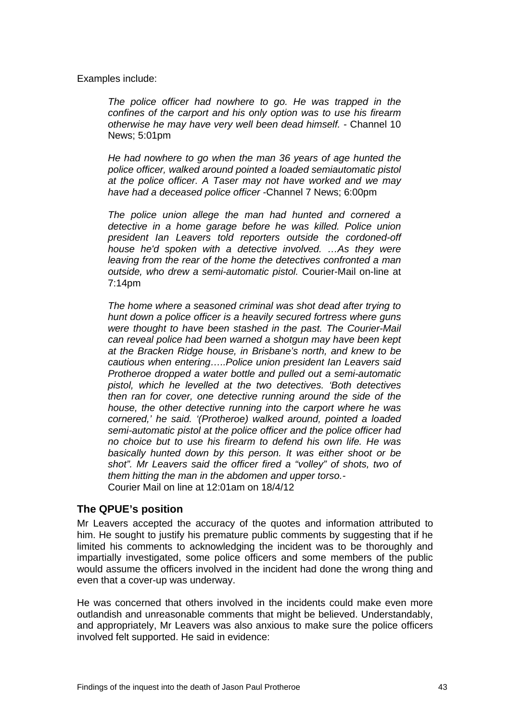<span id="page-44-0"></span>Examples include:

*The police officer had nowhere to go. He was trapped in the confines of the carport and his only option was to use his firearm otherwise he may have very well been dead himself. -* Channel 10 News; 5:01pm

*He had nowhere to go when the man 36 years of age hunted the police officer, walked around pointed a loaded semiautomatic pistol at the police officer. A Taser may not have worked and we may have had a deceased police officer -*Channel 7 News; 6:00pm

*The police union allege the man had hunted and cornered a detective in a home garage before he was killed. Police union president Ian Leavers told reporters outside the cordoned-off house he'd spoken with a detective involved. ...As they were leaving from the rear of the home the detectives confronted a man outside, who drew a semi-automatic pistol.* Courier-Mail on-line at 7:14pm

*The home where a seasoned criminal was shot dead after trying to hunt down a police officer is a heavily secured fortress where guns were thought to have been stashed in the past. The Courier-Mail can reveal police had been warned a shotgun may have been kept at the Bracken Ridge house, in Brisbane's north, and knew to be cautious when entering…..Police union president Ian Leavers said Protheroe dropped a water bottle and pulled out a semi-automatic pistol, which he levelled at the two detectives. 'Both detectives then ran for cover, one detective running around the side of the house, the other detective running into the carport where he was cornered,' he said. '(Protheroe) walked around, pointed a loaded semi-automatic pistol at the police officer and the police officer had no choice but to use his firearm to defend his own life. He was basically hunted down by this person. It was either shoot or be shot". Mr Leavers said the officer fired a "volley" of shots, two of them hitting the man in the abdomen and upper torso.-*  Courier Mail on line at 12:01am on 18/4/12

#### **The QPUE's position**

Mr Leavers accepted the accuracy of the quotes and information attributed to him. He sought to justify his premature public comments by suggesting that if he limited his comments to acknowledging the incident was to be thoroughly and impartially investigated, some police officers and some members of the public would assume the officers involved in the incident had done the wrong thing and even that a cover-up was underway.

He was concerned that others involved in the incidents could make even more outlandish and unreasonable comments that might be believed. Understandably, and appropriately, Mr Leavers was also anxious to make sure the police officers involved felt supported. He said in evidence: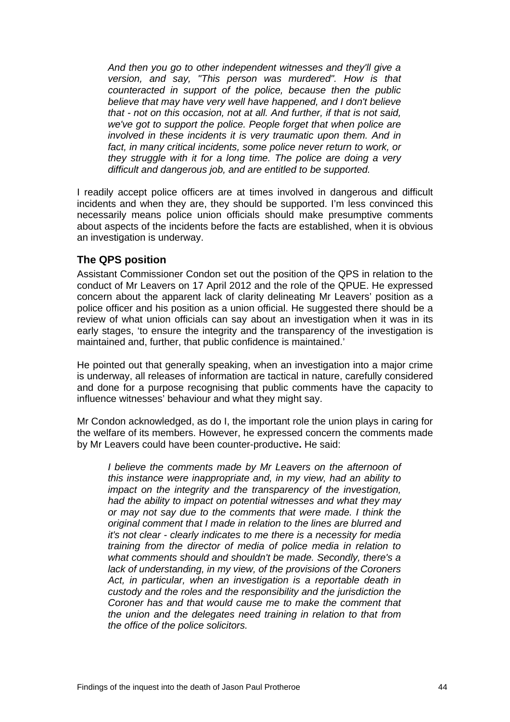<span id="page-45-0"></span>*And then you go to other independent witnesses and they'll give a version, and say, "This person was murdered". How is that counteracted in support of the police, because then the public believe that may have very well have happened, and I don't believe that - not on this occasion, not at all. And further, if that is not said, we've got to support the police. People forget that when police are involved in these incidents it is very traumatic upon them. And in*  fact, in many critical incidents, some police never return to work, or *they struggle with it for a long time. The police are doing a very difficult and dangerous job, and are entitled to be supported.* 

I readily accept police officers are at times involved in dangerous and difficult incidents and when they are, they should be supported. I'm less convinced this necessarily means police union officials should make presumptive comments about aspects of the incidents before the facts are established, when it is obvious an investigation is underway.

#### **The QPS position**

Assistant Commissioner Condon set out the position of the QPS in relation to the conduct of Mr Leavers on 17 April 2012 and the role of the QPUE. He expressed concern about the apparent lack of clarity delineating Mr Leavers' position as a police officer and his position as a union official. He suggested there should be a review of what union officials can say about an investigation when it was in its early stages, 'to ensure the integrity and the transparency of the investigation is maintained and, further, that public confidence is maintained.'

He pointed out that generally speaking, when an investigation into a major crime is underway, all releases of information are tactical in nature, carefully considered and done for a purpose recognising that public comments have the capacity to influence witnesses' behaviour and what they might say.

Mr Condon acknowledged, as do I, the important role the union plays in caring for the welfare of its members. However, he expressed concern the comments made by Mr Leavers could have been counter-productive**.** He said:

*I believe the comments made by Mr Leavers on the afternoon of this instance were inappropriate and, in my view, had an ability to impact on the integrity and the transparency of the investigation, had the ability to impact on potential witnesses and what they may or may not say due to the comments that were made. I think the original comment that I made in relation to the lines are blurred and it's not clear - clearly indicates to me there is a necessity for media training from the director of media of police media in relation to what comments should and shouldn't be made. Secondly, there's a lack of understanding, in my view, of the provisions of the Coroners Act, in particular, when an investigation is a reportable death in custody and the roles and the responsibility and the jurisdiction the Coroner has and that would cause me to make the comment that the union and the delegates need training in relation to that from the office of the police solicitors.*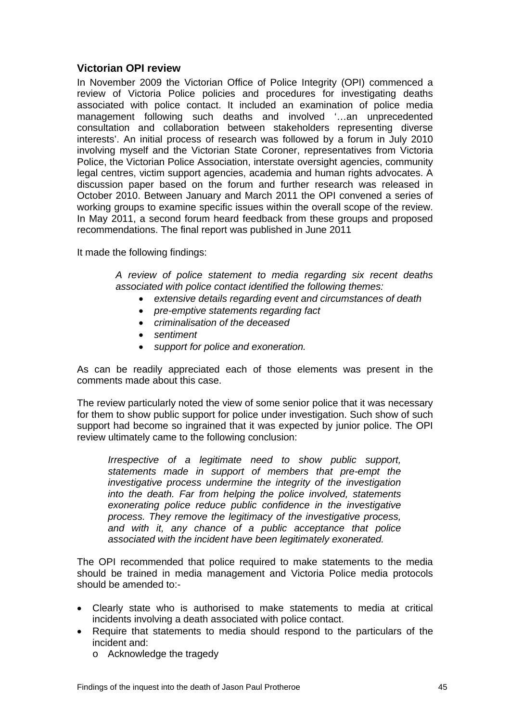#### <span id="page-46-0"></span>**Victorian OPI review**

In November 2009 the Victorian Office of Police Integrity (OPI) commenced a review of Victoria Police policies and procedures for investigating deaths associated with police contact. It included an examination of police media management following such deaths and involved '…an unprecedented consultation and collaboration between stakeholders representing diverse interests'. An initial process of research was followed by a forum in July 2010 involving myself and the Victorian State Coroner, representatives from Victoria Police, the Victorian Police Association, interstate oversight agencies, community legal centres, victim support agencies, academia and human rights advocates. A discussion paper based on the forum and further research was released in October 2010. Between January and March 2011 the OPI convened a series of working groups to examine specific issues within the overall scope of the review. In May 2011, a second forum heard feedback from these groups and proposed recommendations. The final report was published in June 2011

It made the following findings:

*A review of police statement to media regarding six recent deaths associated with police contact identified the following themes:* 

- *extensive details regarding event and circumstances of death*
- *pre-emptive statements regarding fact*
- *criminalisation of the deceased*
- *sentiment*
- *support for police and exoneration.*

As can be readily appreciated each of those elements was present in the comments made about this case.

The review particularly noted the view of some senior police that it was necessary for them to show public support for police under investigation. Such show of such support had become so ingrained that it was expected by junior police. The OPI review ultimately came to the following conclusion:

*Irrespective of a legitimate need to show public support, statements made in support of members that pre-empt the investigative process undermine the integrity of the investigation into the death. Far from helping the police involved, statements exonerating police reduce public confidence in the investigative process. They remove the legitimacy of the investigative process, and with it, any chance of a public acceptance that police associated with the incident have been legitimately exonerated.* 

The OPI recommended that police required to make statements to the media should be trained in media management and Victoria Police media protocols should be amended to:-

- Clearly state who is authorised to make statements to media at critical incidents involving a death associated with police contact.
- Require that statements to media should respond to the particulars of the incident and:
	- o Acknowledge the tragedy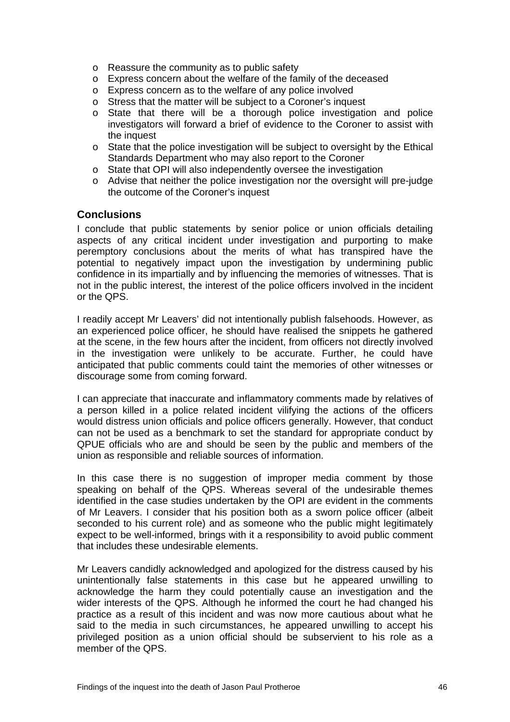- <span id="page-47-0"></span>o Reassure the community as to public safety
- o Express concern about the welfare of the family of the deceased
- o Express concern as to the welfare of any police involved
- o Stress that the matter will be subject to a Coroner's inquest
- o State that there will be a thorough police investigation and police investigators will forward a brief of evidence to the Coroner to assist with the inquest
- $\circ$  State that the police investigation will be subject to oversight by the Ethical Standards Department who may also report to the Coroner
- o State that OPI will also independently oversee the investigation
- o Advise that neither the police investigation nor the oversight will pre-judge the outcome of the Coroner's inquest

#### **Conclusions**

I conclude that public statements by senior police or union officials detailing aspects of any critical incident under investigation and purporting to make peremptory conclusions about the merits of what has transpired have the potential to negatively impact upon the investigation by undermining public confidence in its impartially and by influencing the memories of witnesses. That is not in the public interest, the interest of the police officers involved in the incident or the QPS.

I readily accept Mr Leavers' did not intentionally publish falsehoods. However, as an experienced police officer, he should have realised the snippets he gathered at the scene, in the few hours after the incident, from officers not directly involved in the investigation were unlikely to be accurate. Further, he could have anticipated that public comments could taint the memories of other witnesses or discourage some from coming forward.

I can appreciate that inaccurate and inflammatory comments made by relatives of a person killed in a police related incident vilifying the actions of the officers would distress union officials and police officers generally. However, that conduct can not be used as a benchmark to set the standard for appropriate conduct by QPUE officials who are and should be seen by the public and members of the union as responsible and reliable sources of information.

In this case there is no suggestion of improper media comment by those speaking on behalf of the QPS. Whereas several of the undesirable themes identified in the case studies undertaken by the OPI are evident in the comments of Mr Leavers. I consider that his position both as a sworn police officer (albeit seconded to his current role) and as someone who the public might legitimately expect to be well-informed, brings with it a responsibility to avoid public comment that includes these undesirable elements.

Mr Leavers candidly acknowledged and apologized for the distress caused by his unintentionally false statements in this case but he appeared unwilling to acknowledge the harm they could potentially cause an investigation and the wider interests of the QPS. Although he informed the court he had changed his practice as a result of this incident and was now more cautious about what he said to the media in such circumstances, he appeared unwilling to accept his privileged position as a union official should be subservient to his role as a member of the QPS.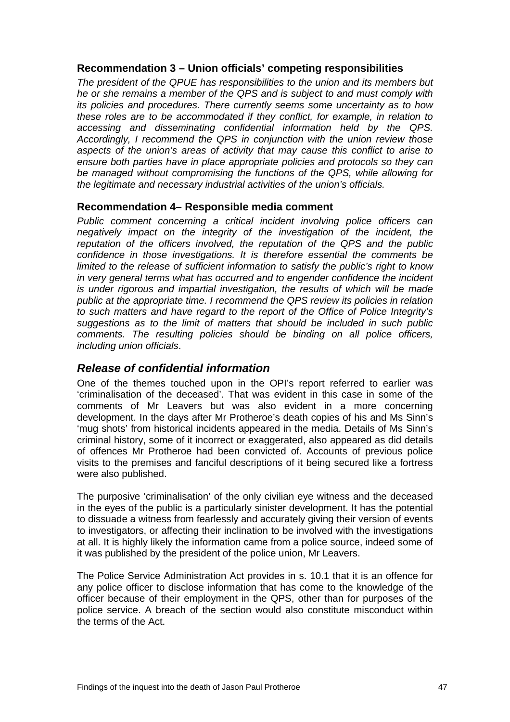#### <span id="page-48-0"></span>**Recommendation 3 – Union officials' competing responsibilities**

*The president of the QPUE has responsibilities to the union and its members but he or she remains a member of the QPS and is subject to and must comply with its policies and procedures. There currently seems some uncertainty as to how these roles are to be accommodated if they conflict, for example, in relation to accessing and disseminating confidential information held by the QPS. Accordingly, I recommend the QPS in conjunction with the union review those aspects of the union's areas of activity that may cause this conflict to arise to ensure both parties have in place appropriate policies and protocols so they can be managed without compromising the functions of the QPS, while allowing for the legitimate and necessary industrial activities of the union's officials.* 

#### **Recommendation 4– Responsible media comment**

*Public comment concerning a critical incident involving police officers can negatively impact on the integrity of the investigation of the incident, the reputation of the officers involved, the reputation of the QPS and the public confidence in those investigations. It is therefore essential the comments be limited to the release of sufficient information to satisfy the public's right to know in very general terms what has occurred and to engender confidence the incident is under rigorous and impartial investigation, the results of which will be made public at the appropriate time. I recommend the QPS review its policies in relation to such matters and have regard to the report of the Office of Police Integrity's suggestions as to the limit of matters that should be included in such public comments. The resulting policies should be binding on all police officers, including union officials*.

## *Release of confidential information*

One of the themes touched upon in the OPI's report referred to earlier was 'criminalisation of the deceased'. That was evident in this case in some of the comments of Mr Leavers but was also evident in a more concerning development. In the days after Mr Protheroe's death copies of his and Ms Sinn's 'mug shots' from historical incidents appeared in the media. Details of Ms Sinn's criminal history, some of it incorrect or exaggerated, also appeared as did details of offences Mr Protheroe had been convicted of. Accounts of previous police visits to the premises and fanciful descriptions of it being secured like a fortress were also published.

The purposive 'criminalisation' of the only civilian eye witness and the deceased in the eyes of the public is a particularly sinister development. It has the potential to dissuade a witness from fearlessly and accurately giving their version of events to investigators, or affecting their inclination to be involved with the investigations at all. It is highly likely the information came from a police source, indeed some of it was published by the president of the police union, Mr Leavers.

The Police Service Administration Act provides in s. 10.1 that it is an offence for any police officer to disclose information that has come to the knowledge of the officer because of their employment in the QPS, other than for purposes of the police service. A breach of the section would also constitute misconduct within the terms of the Act.